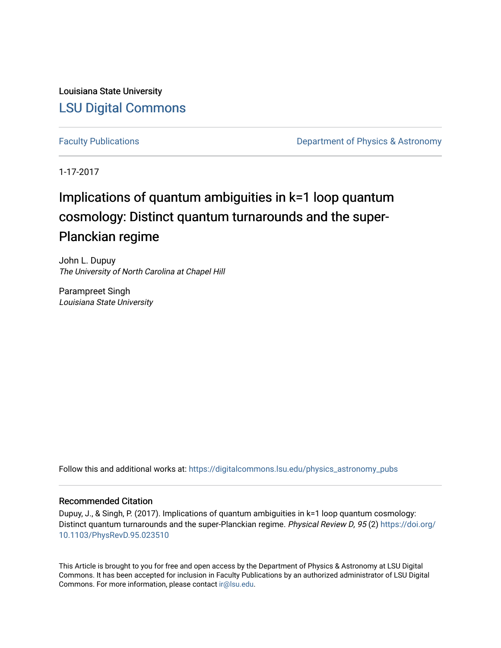Louisiana State University [LSU Digital Commons](https://digitalcommons.lsu.edu/)

[Faculty Publications](https://digitalcommons.lsu.edu/physics_astronomy_pubs) **Exercise 2 and Table 2 and Table 2 and Table 2 and Table 2 and Table 2 and Table 2 and Table 2 and Table 2 and Table 2 and Table 2 and Table 2 and Table 2 and Table 2 and Table 2 and Table 2 and Table** 

1-17-2017

# Implications of quantum ambiguities in k=1 loop quantum cosmology: Distinct quantum turnarounds and the super-Planckian regime

John L. Dupuy The University of North Carolina at Chapel Hill

Parampreet Singh Louisiana State University

Follow this and additional works at: [https://digitalcommons.lsu.edu/physics\\_astronomy\\_pubs](https://digitalcommons.lsu.edu/physics_astronomy_pubs?utm_source=digitalcommons.lsu.edu%2Fphysics_astronomy_pubs%2F5045&utm_medium=PDF&utm_campaign=PDFCoverPages) 

# Recommended Citation

Dupuy, J., & Singh, P. (2017). Implications of quantum ambiguities in k=1 loop quantum cosmology: Distinct quantum turnarounds and the super-Planckian regime. Physical Review D, 95 (2) [https://doi.org/](https://doi.org/10.1103/PhysRevD.95.023510) [10.1103/PhysRevD.95.023510](https://doi.org/10.1103/PhysRevD.95.023510) 

This Article is brought to you for free and open access by the Department of Physics & Astronomy at LSU Digital Commons. It has been accepted for inclusion in Faculty Publications by an authorized administrator of LSU Digital Commons. For more information, please contact [ir@lsu.edu](mailto:ir@lsu.edu).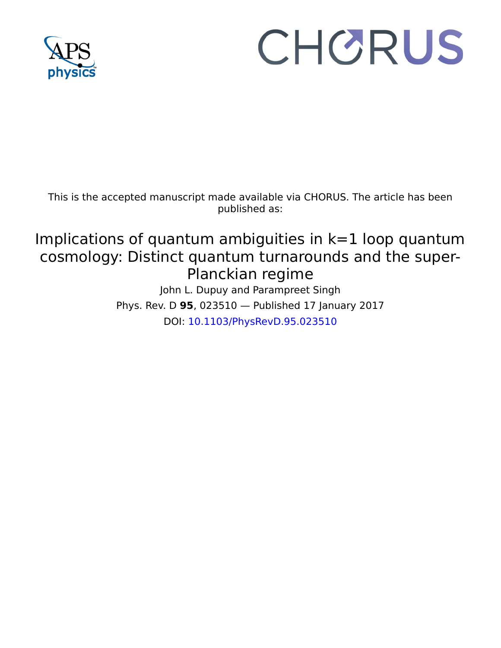

# CHORUS

This is the accepted manuscript made available via CHORUS. The article has been published as:

# Implications of quantum ambiguities in  $k=1$  loop quantum cosmology: Distinct quantum turnarounds and the super-Planckian regime

John L. Dupuy and Parampreet Singh Phys. Rev. D **95**, 023510 — Published 17 January 2017 DOI: [10.1103/PhysRevD.95.023510](http://dx.doi.org/10.1103/PhysRevD.95.023510)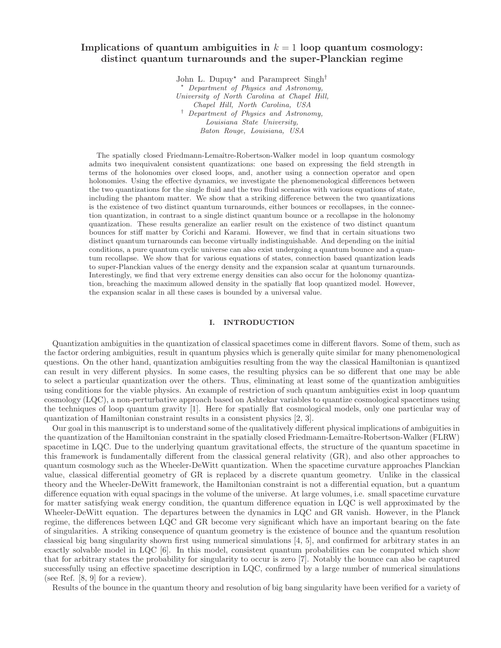# Implications of quantum ambiguities in  $k = 1$  loop quantum cosmology: distinct quantum turnarounds and the super-Planckian regime

John L. Dupuy<sup>\*</sup> and Parampreet Singh<sup>†</sup> Department of Physics and Astronomy, University of North Carolina at Chapel Hill, Chapel Hill, North Carolina, USA † Department of Physics and Astronomy, Louisiana State University, Baton Rouge, Louisiana, USA

The spatially closed Friedmann-Lemaître-Robertson-Walker model in loop quantum cosmology admits two inequivalent consistent quantizations: one based on expressing the field strength in terms of the holonomies over closed loops, and, another using a connection operator and open holonomies. Using the effective dynamics, we investigate the phenomenological differences between the two quantizations for the single fluid and the two fluid scenarios with various equations of state, including the phantom matter. We show that a striking difference between the two quantizations is the existence of two distinct quantum turnarounds, either bounces or recollapses, in the connection quantization, in contrast to a single distinct quantum bounce or a recollapse in the holonomy quantization. These results generalize an earlier result on the existence of two distinct quantum bounces for stiff matter by Corichi and Karami. However, we find that in certain situations two distinct quantum turnarounds can become virtually indistinguishable. And depending on the initial conditions, a pure quantum cyclic universe can also exist undergoing a quantum bounce and a quantum recollapse. We show that for various equations of states, connection based quantization leads to super-Planckian values of the energy density and the expansion scalar at quantum turnarounds. Interestingly, we find that very extreme energy densities can also occur for the holonomy quantization, breaching the maximum allowed density in the spatially flat loop quantized model. However, the expansion scalar in all these cases is bounded by a universal value.

## I. INTRODUCTION

Quantization ambiguities in the quantization of classical spacetimes come in different flavors. Some of them, such as the factor ordering ambiguities, result in quantum physics which is generally quite similar for many phenomenological questions. On the other hand, quantization ambiguities resulting from the way the classical Hamiltonian is quantized can result in very different physics. In some cases, the resulting physics can be so different that one may be able to select a particular quantization over the others. Thus, eliminating at least some of the quantization ambiguities using conditions for the viable physics. An example of restriction of such quantum ambiguities exist in loop quantum cosmology (LQC), a non-perturbative approach based on Ashtekar variables to quantize cosmological spacetimes using the techniques of loop quantum gravity [1]. Here for spatially flat cosmological models, only one particular way of quantization of Hamiltonian constraint results in a consistent physics [2, 3].

Our goal in this manuscript is to understand some of the qualitatively different physical implications of ambiguities in the quantization of the Hamiltonian constraint in the spatially closed Friedmann-Lemaˆıtre-Robertson-Walker (FLRW) spacetime in LQC. Due to the underlying quantum gravitational effects, the structure of the quantum spacetime in this framework is fundamentally different from the classical general relativity (GR), and also other approaches to quantum cosmology such as the Wheeler-DeWitt quantization. When the spacetime curvature approaches Planckian value, classical differential geometry of GR is replaced by a discrete quantum geometry. Unlike in the classical theory and the Wheeler-DeWitt framework, the Hamiltonian constraint is not a differential equation, but a quantum difference equation with equal spacings in the volume of the universe. At large volumes, i.e. small spacetime curvature for matter satisfying weak energy condition, the quantum difference equation in LQC is well approximated by the Wheeler-DeWitt equation. The departures between the dynamics in LQC and GR vanish. However, in the Planck regime, the differences between LQC and GR become very significant which have an important bearing on the fate of singularities. A striking consequence of quantum geometry is the existence of bounce and the quantum resolution classical big bang singularity shown first using numerical simulations [4, 5], and confirmed for arbitrary states in an exactly solvable model in LQC [6]. In this model, consistent quantum probabilities can be computed which show that for arbitrary states the probability for singularity to occur is zero [7]. Notably the bounce can also be captured successfully using an effective spacetime description in LQC, confirmed by a large number of numerical simulations (see Ref. [8, 9] for a review).

Results of the bounce in the quantum theory and resolution of big bang singularity have been verified for a variety of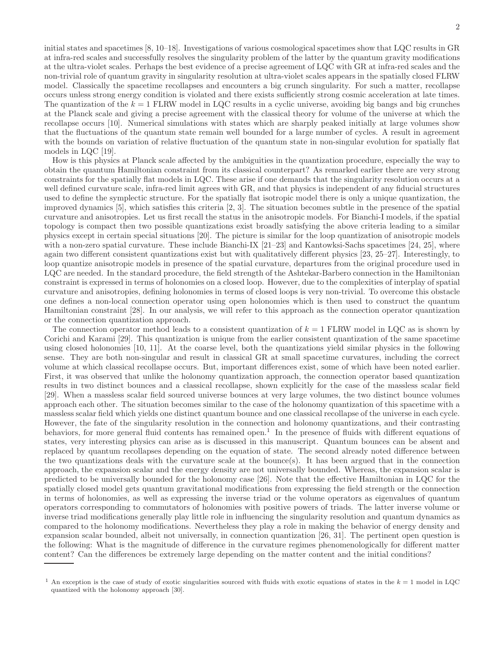initial states and spacetimes [8, 10–18]. Investigations of various cosmological spacetimes show that LQC results in GR at infra-red scales and successfully resolves the singularity problem of the latter by the quantum gravity modifications at the ultra-violet scales. Perhaps the best evidence of a precise agreement of LQC with GR at infra-red scales and the non-trivial role of quantum gravity in singularity resolution at ultra-violet scales appears in the spatially closed FLRW model. Classically the spacetime recollapses and encounters a big crunch singularity. For such a matter, recollapse occurs unless strong energy condition is violated and there exists sufficiently strong cosmic acceleration at late times. The quantization of the  $k = 1$  FLRW model in LQC results in a cyclic universe, avoiding big bangs and big crunches at the Planck scale and giving a precise agreement with the classical theory for volume of the universe at which the recollapse occurs [10]. Numerical simulations with states which are sharply peaked initially at large volumes show that the fluctuations of the quantum state remain well bounded for a large number of cycles. A result in agreement with the bounds on variation of relative fluctuation of the quantum state in non-singular evolution for spatially flat models in LQC [19].

How is this physics at Planck scale affected by the ambiguities in the quantization procedure, especially the way to obtain the quantum Hamiltonian constraint from its classical counterpart? As remarked earlier there are very strong constraints for the spatially flat models in LQC. These arise if one demands that the singularity resolution occurs at a well defined curvature scale, infra-red limit agrees with GR, and that physics is independent of any fiducial structures used to define the symplectic structure. For the spatially flat isotropic model there is only a unique quantization, the improved dynamics [5], which satisfies this criteria [2, 3]. The situation becomes subtle in the presence of the spatial curvature and anisotropies. Let us first recall the status in the anisotropic models. For Bianchi-I models, if the spatial topology is compact then two possible quantizations exist broadly satisfying the above criteria leading to a similar physics except in certain special situations [20]. The picture is similar for the loop quantization of anisotropic models with a non-zero spatial curvature. These include Bianchi-IX [21–23] and Kantowksi-Sachs spacetimes [24, 25], where again two different consistent quantizations exist but with qualitatively different physics [23, 25–27]. Interestingly, to loop quantize anisotropic models in presence of the spatial curvature, departures from the original procedure used in LQC are needed. In the standard procedure, the field strength of the Ashtekar-Barbero connection in the Hamiltonian constraint is expressed in terms of holonomies on a closed loop. However, due to the complexities of interplay of spatial curvature and anisotropies, defining holonomies in terms of closed loops is very non-trivial. To overcome this obstacle one defines a non-local connection operator using open holonomies which is then used to construct the quantum Hamiltonian constraint [28]. In our analysis, we will refer to this approach as the connection operator quantization or the connection quantization approach.

The connection operator method leads to a consistent quantization of  $k = 1$  FLRW model in LQC as is shown by Corichi and Karami [29]. This quantization is unique from the earlier consistent quantization of the same spacetime using closed holonomies [10, 11]. At the coarse level, both the quantizations yield similar physics in the following sense. They are both non-singular and result in classical GR at small spacetime curvatures, including the correct volume at which classical recollapse occurs. But, important differences exist, some of which have been noted earlier. First, it was observed that unlike the holonomy quantization approach, the connection operator based quantization results in two distinct bounces and a classical recollapse, shown explicitly for the case of the massless scalar field [29]. When a massless scalar field sourced universe bounces at very large volumes, the two distinct bounce volumes approach each other. The situation becomes similar to the case of the holonomy quantization of this spacetime with a massless scalar field which yields one distinct quantum bounce and one classical recollapse of the universe in each cycle. However, the fate of the singularity resolution in the connection and holonomy quantizations, and their contrasting behaviors, for more general fluid contents has remained open.<sup>1</sup> In the presence of fluids with different equations of states, very interesting physics can arise as is discussed in this manuscript. Quantum bounces can be absent and replaced by quantum recollapses depending on the equation of state. The second already noted difference between the two quantizations deals with the curvature scale at the bounce(s). It has been argued that in the connection approach, the expansion scalar and the energy density are not universally bounded. Whereas, the expansion scalar is predicted to be universally bounded for the holonomy case [26]. Note that the effective Hamiltonian in LQC for the spatially closed model gets quantum gravitational modifications from expressing the field strength or the connection in terms of holonomies, as well as expressing the inverse triad or the volume operators as eigenvalues of quantum operators corresponding to commutators of holonomies with positive powers of triads. The latter inverse volume or inverse triad modifications generally play little role in influencing the singularity resolution and quantum dynamics as compared to the holonomy modifications. Nevertheless they play a role in making the behavior of energy density and expansion scalar bounded, albeit not universally, in connection quantization [26, 31]. The pertinent open question is the following: What is the magnitude of difference in the curvature regimes phenomenologically for different matter content? Can the differences be extremely large depending on the matter content and the initial conditions?

<sup>&</sup>lt;sup>1</sup> An exception is the case of study of exotic singularities sourced with fluids with exotic equations of states in the  $k = 1$  model in LQC quantized with the holonomy approach [30].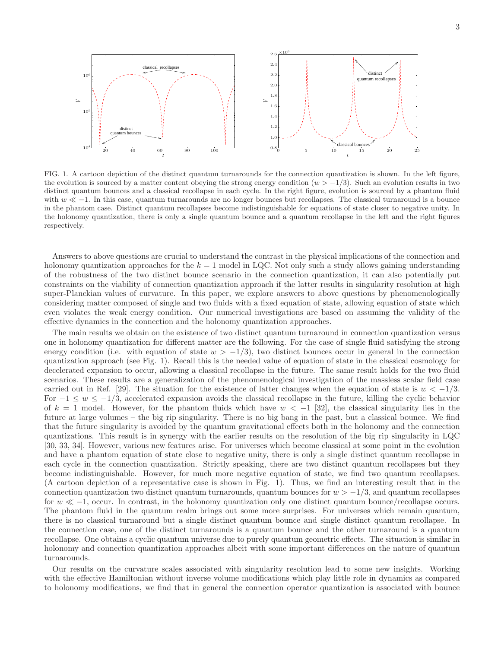

FIG. 1. A cartoon depiction of the distinct quantum turnarounds for the connection quantization is shown. In the left figure, the evolution is sourced by a matter content obeying the strong energy condition  $(w > -1/3)$ . Such an evolution results in two distinct quantum bounces and a classical recollapse in each cycle. In the right figure, evolution is sourced by a phantom fluid with  $w \ll -1$ . In this case, quantum turnarounds are no longer bounces but recollapses. The classical turnaround is a bounce in the phantom case. Distinct quantum recollapses become indistinguishable for equations of state closer to negative unity. In the holonomy quantization, there is only a single quantum bounce and a quantum recollapse in the left and the right figures respectively.

Answers to above questions are crucial to understand the contrast in the physical implications of the connection and holonomy quantization approaches for the  $k = 1$  model in LQC. Not only such a study allows gaining understanding of the robustness of the two distinct bounce scenario in the connection quantization, it can also potentially put constraints on the viability of connection quantization approach if the latter results in singularity resolution at high super-Planckian values of curvature. In this paper, we explore answers to above questions by phenomenologically considering matter composed of single and two fluids with a fixed equation of state, allowing equation of state which even violates the weak energy condition. Our numerical investigations are based on assuming the validity of the effective dynamics in the connection and the holonomy quantization approaches.

The main results we obtain on the existence of two distinct quantum turnaround in connection quantization versus one in holonomy quantization for different matter are the following. For the case of single fluid satisfying the strong energy condition (i.e. with equation of state  $w > -1/3$ ), two distinct bounces occur in general in the connection quantization approach (see Fig. 1). Recall this is the needed value of equation of state in the classical cosmology for decelerated expansion to occur, allowing a classical recollapse in the future. The same result holds for the two fluid scenarios. These results are a generalization of the phenomenological investigation of the massless scalar field case carried out in Ref. [29]. The situation for the existence of latter changes when the equation of state is  $w < -1/3$ . For  $-1 \leq w \leq -1/3$ , accelerated expansion avoids the classical recollapse in the future, killing the cyclic behavior of k = 1 model. However, for the phantom fluids which have  $w < -1$  [32], the classical singularity lies in the future at large volumes – the big rip singularity. There is no big bang in the past, but a classical bounce. We find that the future singularity is avoided by the quantum gravitational effects both in the holonomy and the connection quantizations. This result is in synergy with the earlier results on the resolution of the big rip singularity in LQC [30, 33, 34]. However, various new features arise. For universes which become classical at some point in the evolution and have a phantom equation of state close to negative unity, there is only a single distinct quantum recollapse in each cycle in the connection quantization. Strictly speaking, there are two distinct quantum recollapses but they become indistinguishable. However, for much more negative equation of state, we find two quantum recollapses. (A cartoon depiction of a representative case is shown in Fig. 1). Thus, we find an interesting result that in the connection quantization two distinct quantum turnarounds, quantum bounces for  $w > -1/3$ , and quantum recollapses for  $w \ll -1$ , occur. In contrast, in the holonomy quantization only one distinct quantum bounce/recollapse occurs. The phantom fluid in the quantum realm brings out some more surprises. For universes which remain quantum, there is no classical turnaround but a single distinct quantum bounce and single distinct quantum recollapse. In the connection case, one of the distinct turnarounds is a quantum bounce and the other turnaround is a quantum recollapse. One obtains a cyclic quantum universe due to purely quantum geometric effects. The situation is similar in holonomy and connection quantization approaches albeit with some important differences on the nature of quantum turnarounds.

Our results on the curvature scales associated with singularity resolution lead to some new insights. Working with the effective Hamiltonian without inverse volume modifications which play little role in dynamics as compared to holonomy modifications, we find that in general the connection operator quantization is associated with bounce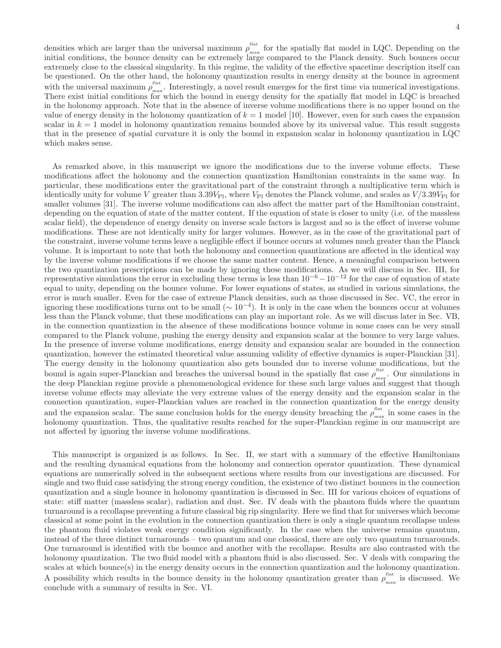densities which are larger than the universal maximum  $\rho_{\text{max}}^{\text{flat}}$ <sup>raav</sup> for the spatially flat model in LQC. Depending on the initial conditions, the bounce density can be extremely large compared to the Planck density. Such bounces occur extremely close to the classical singularity. In this regime, the validity of the effective spacetime description itself can be questioned. On the other hand, the holonomy quantization results in energy density at the bounce in agreement with the universal maximum  $\rho_{\text{max}}^{\text{flat}}$ <sup>nax</sup>. Interestingly, a novel result emerges for the first time via numerical investigations. There exist initial conditions for which the bound in energy density for the spatially flat model in LQC is breached in the holonomy approach. Note that in the absence of inverse volume modifications there is no upper bound on the value of energy density in the holonomy quantization of  $k = 1$  model [10]. However, even for such cases the expansion scalar in  $k = 1$  model in holonomy quantization remains bounded above by its universal value. This result suggests that in the presence of spatial curvature it is only the bound in expansion scalar in holonomy quantization in LQC which makes sense.

As remarked above, in this manuscript we ignore the modifications due to the inverse volume effects. These modifications affect the holonomy and the connection quantization Hamiltonian constraints in the same way. In particular, these modifications enter the gravitational part of the constraint through a multiplicative term which is identically unity for volume V greater than  $3.39V_{\text{Pl}}$ , where  $V_{\text{Pl}}$  denotes the Planck volume, and scales as  $V/3.39V_{\text{Pl}}$  for smaller volumes [31]. The inverse volume modifications can also affect the matter part of the Hamiltonian constraint, depending on the equation of state of the matter content. If the equation of state is closer to unity (i.e. of the massless scalar field), the dependence of energy density on inverse scale factors is largest and so is the effect of inverse volume modifications. These are not identically unity for larger volumes. However, as in the case of the gravitational part of the constraint, inverse volume terms leave a negligible effect if bounce occurs at volumes much greater than the Planck volume. It is important to note that both the holonomy and connection quantizations are affected in the identical way by the inverse volume modifications if we choose the same matter content. Hence, a meaningful comparison between the two quantization prescriptions can be made by ignoring these modifications. As we will discuss in Sec. III, for representative simulations the error in excluding these terms is less than  $10^{-6} - 10^{-12}$  for the case of equation of state equal to unity, depending on the bounce volume. For lower equations of states, as studied in various simulations, the error is much smaller. Even for the case of extreme Planck densities, such as those discussed in Sec. VC, the error in ignoring these modifications turns out to be small  $(\sim 10^{-4})$ . It is only in the case when the bounces occur at volumes less than the Planck volume, that these modifications can play an important role. As we will discuss later in Sec. VB, in the connection quantization in the absence of these modifications bounce volume in some cases can be very small compared to the Planck volume, pushing the energy density and expansion scalar at the bounce to very large values. In the presence of inverse volume modifications, energy density and expansion scalar are bounded in the connection quantization, however the estimated theoretical value assuming validity of effective dynamics is super-Planckian [31]. The energy density in the holonomy quantization also gets bounded due to inverse volume modifications, but the bound is again super-Planckian and breaches the universal bound in the spatially flat case  $\rho_{\text{max}}^{\text{flat}}$  $\frac{m}{\text{max}}$ . Our simulations in the deep Planckian regime provide a phenomenological evidence for these such large values and suggest that though inverse volume effects may alleviate the very extreme values of the energy density and the expansion scalar in the connection quantization, super-Planckian values are reached in the connection quantization for the energy density and the expansion scalar. The same conclusion holds for the energy density breaching the  $\rho_{\text{max}}^{\text{flat}}$  $\frac{m}{\text{max}}$  in some cases in the holonomy quantization. Thus, the qualitative results reached for the super-Planckian regime in our manuscript are not affected by ignoring the inverse volume modifications.

This manuscript is organized is as follows. In Sec. II, we start with a summary of the effective Hamiltonians and the resulting dynamical equations from the holonomy and connection operator quantization. These dynamical equations are numerically solved in the subsequent sections where results from our investigations are discussed. For single and two fluid case satisfying the strong energy condition, the existence of two distinct bounces in the connection quantization and a single bounce in holonomy quantization is discussed in Sec. III for various choices of equations of state: stiff matter (massless scalar), radiation and dust. Sec. IV deals with the phantom fluids where the quantum turnaround is a recollapse preventing a future classical big rip singularity. Here we find that for universes which become classical at some point in the evolution in the connection quantization there is only a single quantum recollapse unless the phantom fluid violates weak energy condition significantly. In the case when the universe remains quantum, instead of the three distinct turnarounds – two quantum and one classical, there are only two quantum turnarounds. One turnaround is identified with the bounce and another with the recollapse. Results are also contrasted with the holonomy quantization. The two fluid model with a phantom fluid is also discussed. Sec. V deals with comparing the scales at which bounce(s) in the energy density occurs in the connection quantization and the holonomy quantization. A possibility which results in the bounce density in the holonomy quantization greater than  $\rho_{\text{max}}^{\text{flat}}$  $\frac{m}{\text{max}}$  is discussed. We conclude with a summary of results in Sec. VI.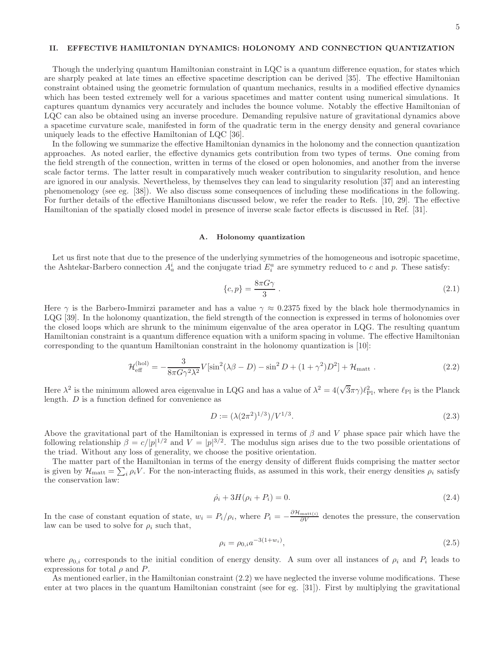# II. EFFECTIVE HAMILTONIAN DYNAMICS: HOLONOMY AND CONNECTION QUANTIZATION

Though the underlying quantum Hamiltonian constraint in LQC is a quantum difference equation, for states which are sharply peaked at late times an effective spacetime description can be derived [35]. The effective Hamiltonian constraint obtained using the geometric formulation of quantum mechanics, results in a modified effective dynamics which has been tested extremely well for a various spacetimes and matter content using numerical simulations. It captures quantum dynamics very accurately and includes the bounce volume. Notably the effective Hamiltonian of LQC can also be obtained using an inverse procedure. Demanding repulsive nature of gravitational dynamics above a spacetime curvature scale, manifested in form of the quadratic term in the energy density and general covariance uniquely leads to the effective Hamiltonian of LQC [36].

In the following we summarize the effective Hamiltonian dynamics in the holonomy and the connection quantization approaches. As noted earlier, the effective dynamics gets contribution from two types of terms. One coming from the field strength of the connection, written in terms of the closed or open holonomies, and another from the inverse scale factor terms. The latter result in comparatively much weaker contribution to singularity resolution, and hence are ignored in our analysis. Nevertheless, by themselves they can lead to singularity resolution [37] and an interesting phenomenology (see eg. [38]). We also discuss some consequences of including these modifications in the following. For further details of the effective Hamiltonians discussed below, we refer the reader to Refs. [10, 29]. The effective Hamiltonian of the spatially closed model in presence of inverse scale factor effects is discussed in Ref. [31].

#### A. Holonomy quantization

Let us first note that due to the presence of the underlying symmetries of the homogeneous and isotropic spacetime, the Ashtekar-Barbero connection  $A_a^i$  and the conjugate triad  $E_i^a$  are symmetry reduced to c and p. These satisfy:

$$
\{c, p\} = \frac{8\pi G\gamma}{3} \tag{2.1}
$$

Here  $\gamma$  is the Barbero-Immirzi parameter and has a value  $\gamma \approx 0.2375$  fixed by the black hole thermodynamics in LQG [39]. In the holonomy quantization, the field strength of the connection is expressed in terms of holonomies over the closed loops which are shrunk to the minimum eigenvalue of the area operator in LQG. The resulting quantum Hamiltonian constraint is a quantum difference equation with a uniform spacing in volume. The effective Hamiltonian corresponding to the quantum Hamiltonian constraint in the holonomy quantization is [10]:

$$
\mathcal{H}_{\text{eff}}^{(\text{hol})} = -\frac{3}{8\pi G \gamma^2 \lambda^2} V[\sin^2(\lambda \beta - D) - \sin^2 D + (1 + \gamma^2)D^2] + \mathcal{H}_{\text{matt}}.
$$
 (2.2)

Here  $\lambda^2$  is the minimum allowed area eigenvalue in LQG and has a value of  $\lambda^2 = 4(\sqrt{3}\pi\gamma)\ell_{\rm Pl}^2$ , where  $\ell_{\rm Pl}$  is the Planck length. D is a function defined for convenience as

$$
D := \frac{(\lambda (2\pi^2)^{1/3})}{V^{1/3}}.
$$
\n(2.3)

Above the gravitational part of the Hamiltonian is expressed in terms of  $\beta$  and V phase space pair which have the following relationship  $\beta = c/|p|^{1/2}$  and  $V = |p|^{3/2}$ . The modulus sign arises due to the two possible orientations of the triad. Without any loss of generality, we choose the positive orientation.

The matter part of the Hamiltonian in terms of the energy density of different fluids comprising the matter sector is given by  $\mathcal{H}_{\text{matt}} = \sum_i \rho_i V$ . For the non-interacting fluids, as assumed in this work, their energy densities  $\rho_i$  satisfy the conservation law:

$$
\dot{\rho}_i + 3H(\rho_i + P_i) = 0. \tag{2.4}
$$

In the case of constant equation of state,  $w_i = P_i/\rho_i$ , where  $P_i = -\frac{\partial \mathcal{H}_{\text{matt}(i)}}{\partial V}$  denotes the pressure, the conservation law can be used to solve for  $\rho_i$  such that,

$$
\rho_i = \rho_{0,i} a^{-3(1+w_i)},\tag{2.5}
$$

where  $\rho_{0,i}$  corresponds to the initial condition of energy density. A sum over all instances of  $\rho_i$  and  $P_i$  leads to expressions for total  $\rho$  and P.

As mentioned earlier, in the Hamiltonian constraint (2.2) we have neglected the inverse volume modifications. These enter at two places in the quantum Hamiltonian constraint (see for eg. [31]). First by multiplying the gravitational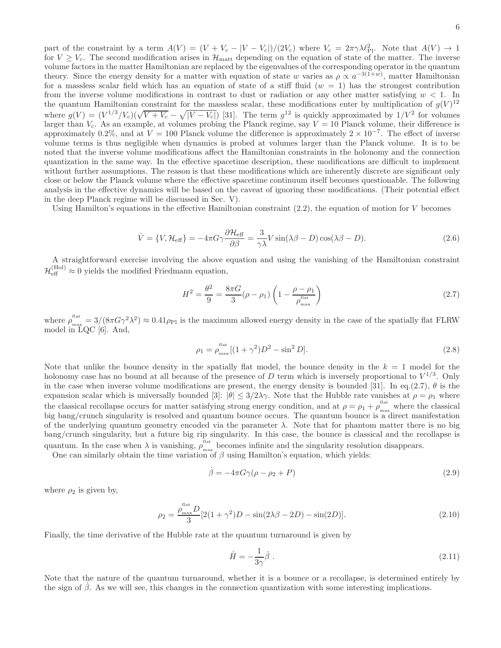part of the constraint by a term  $A(V) = (V + V_c - |V - V_c|)/(2V_c)$  where  $V_c = 2\pi\gamma\lambda\ell_{\rm Pl}^2$ . Note that  $A(V) \to 1$ for  $V \geq V_c$ . The second modification arises in  $\mathcal{H}_{\text{matt}}$  depending on the equation of state of the matter. The inverse volume factors in the matter Hamiltonian are replaced by the eigenvalues of the corresponding operator in the quantum theory. Since the energy density for a matter with equation of state w varies as  $\rho \propto a^{-3(1+w)}$ , matter Hamiltonian for a massless scalar field which has an equation of state of a stiff fluid  $(w = 1)$  has the strongest contribution from the inverse volume modifications in contrast to dust or radiation or any other matter satisfying  $w < 1$ . In the quantum Hamiltonian constraint for the massless scalar, these modifications enter by multiplication of  $g(V)^{12}$ the quantum Hamiltonian constraint for the massless scalar, these modifications enter by multiplication of  $g(V)^{12}$ <br>where  $g(V) = (V^{1/3}/V_c)(\sqrt{V+V_c}-\sqrt{|V-V_c|})$  [31]. The term  $g^{12}$  is quickly approximated by  $1/V^2$  for volu larger than  $V_c$ . As an example, at volumes probing the Planck regime, say  $V = 10$  Planck volume, their difference is approximately 0.2%, and at  $V = 100$  Planck volume the difference is approximately  $2 \times 10^{-7}$ . The effect of inverse volume terms is thus negligible when dynamics is probed at volumes larger than the Planck volume. It is to be noted that the inverse volume modifications affect the Hamiltonian constraints in the holonomy and the connection quantization in the same way. In the effective spacetime description, these modifications are difficult to implement without further assumptions. The reason is that these modifications which are inherently discrete are significant only close or below the Planck volume where the effective spacetime continuum itself becomes questionable. The following analysis in the effective dynamics will be based on the caveat of ignoring these modifications. (Their potential effect in the deep Planck regime will be discussed in Sec. V).

Using Hamilton's equations in the effective Hamiltonian constraint  $(2.2)$ , the equation of motion for V becomes

$$
\dot{V} = \{V, \mathcal{H}_{\text{eff}}\} = -4\pi G \gamma \frac{\partial \mathcal{H}_{\text{eff}}}{\partial \beta} = \frac{3}{\gamma \lambda} V \sin(\lambda \beta - D) \cos(\lambda \beta - D). \tag{2.6}
$$

A straightforward exercise involving the above equation and using the vanishing of the Hamiltonian constraint  $\mathcal{H}_{\text{eff}}^{(\text{Hol})} \approx 0$  yields the modified Friedmann equation,

$$
H^{2} = \frac{\theta^{2}}{9} = \frac{8\pi G}{3}(\rho - \rho_{1}) \left(1 - \frac{\rho - \rho_{1}}{\rho_{\max}^{\text{flat}}}\right)
$$
 (2.7)

where  $\rho_{\text{max}}^{\text{flat}} = 3/(8\pi G\gamma^2\lambda^2) \approx 0.41\rho_{\text{Pl}}$  is the maximum allowed energy density in the case of the spatially flat FLRW model in LQC [6]. And,

$$
\rho_1 = \rho_{\text{max}}^{\text{flat}} [(1+\gamma^2)D^2 - \sin^2 D]. \tag{2.8}
$$

Note that unlike the bounce density in the spatially flat model, the bounce density in the  $k = 1$  model for the holonomy case has no bound at all because of the presence of D term which is inversely proportional to  $V^{1/3}$ . Only in the case when inverse volume modifications are present, the energy density is bounded [31]. In eq.(2.7),  $\theta$  is the expansion scalar which is universally bounded [3]:  $|\theta| \leq 3/2\lambda\gamma$ . Note that the Hubble rate vanishes at  $\rho = \rho_1$  where the classical recollapse occurs for matter satisfying strong energy condition, and at  $\rho = \rho_1 + \rho_{\max}^{\text{flat}}$  where the classical big bang/crunch singularity is resolved and quantum bounce occurs. The quantum bounce is a direct manifestation of the underlying quantum geometry encoded via the parameter  $\lambda$ . Note that for phantom matter there is no big bang/crunch singularity, but a future big rip singularity. In this case, the bounce is classical and the recollapse is quantum. In the case when  $\lambda$  is vanishing,  $\rho_{\text{max}}^{\text{flat}}$ <sup>nax</sup> becomes infinite and the singularity resolution disappears.

One can similarly obtain the time variation of  $\beta$  using Hamilton's equation, which yields:

$$
\dot{\beta} = -4\pi G\gamma(\rho - \rho_2 + P) \tag{2.9}
$$

where  $\rho_2$  is given by,

$$
\rho_2 = \frac{\rho_{\text{max}}^{\text{flat}} D}{3} [2(1+\gamma^2)D - \sin(2\lambda\beta - 2D) - \sin(2D)].
$$
\n(2.10)

Finally, the time derivative of the Hubble rate at the quantum turnaround is given by

$$
\dot{H} = -\frac{1}{3\gamma}\dot{\beta} \tag{2.11}
$$

Note that the nature of the quantum turnaround, whether it is a bounce or a recollapse, is determined entirely by the sign of  $\beta$ . As we will see, this changes in the connection quantization with some interesting implications.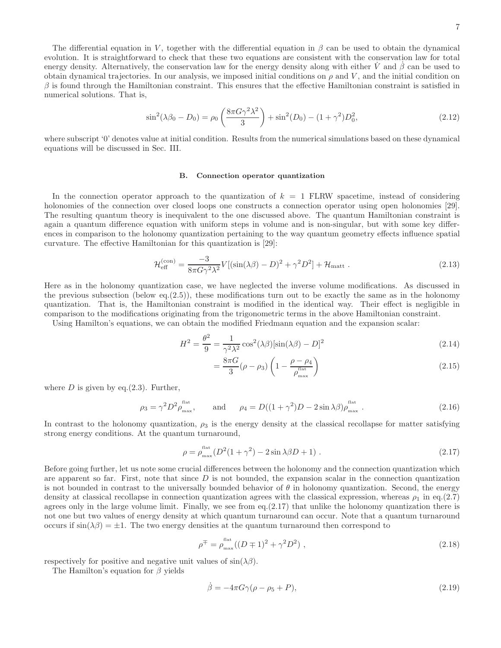The differential equation in V, together with the differential equation in  $\beta$  can be used to obtain the dynamical evolution. It is straightforward to check that these two equations are consistent with the conservation law for total energy density. Alternatively, the conservation law for the energy density along with either V and  $\beta$  can be used to obtain dynamical trajectories. In our analysis, we imposed initial conditions on  $\rho$  and  $V$ , and the initial condition on  $\beta$  is found through the Hamiltonian constraint. This ensures that the effective Hamiltonian constraint is satisfied in numerical solutions. That is,

$$
\sin^2(\lambda \beta_0 - D_0) = \rho_0 \left( \frac{8\pi G \gamma^2 \lambda^2}{3} \right) + \sin^2(D_0) - (1 + \gamma^2) D_0^2,
$$
\n(2.12)

where subscript '0' denotes value at initial condition. Results from the numerical simulations based on these dynamical equations will be discussed in Sec. III.

## B. Connection operator quantization

In the connection operator approach to the quantization of  $k = 1$  FLRW spacetime, instead of considering holonomies of the connection over closed loops one constructs a connection operator using open holonomies [29]. The resulting quantum theory is inequivalent to the one discussed above. The quantum Hamiltonian constraint is again a quantum difference equation with uniform steps in volume and is non-singular, but with some key differences in comparison to the holonomy quantization pertaining to the way quantum geometry effects influence spatial curvature. The effective Hamiltonian for this quantization is [29]:

$$
\mathcal{H}_{\text{eff}}^{(\text{con})} = \frac{-3}{8\pi G\gamma^2\lambda^2} V[(\sin(\lambda\beta) - D)^2 + \gamma^2 D^2] + \mathcal{H}_{\text{matt}}.
$$
\n(2.13)

Here as in the holonomy quantization case, we have neglected the inverse volume modifications. As discussed in the previous subsection (below eq. $(2.5)$ ), these modifications turn out to be exactly the same as in the holonomy quantization. That is, the Hamiltonian constraint is modified in the identical way. Their effect is negligible in comparison to the modifications originating from the trigonometric terms in the above Hamiltonian constraint.

Using Hamilton's equations, we can obtain the modified Friedmann equation and the expansion scalar:

$$
H^2 = \frac{\theta^2}{9} = \frac{1}{\gamma^2 \lambda^2} \cos^2(\lambda \beta) [\sin(\lambda \beta) - D]^2
$$
 (2.14)

$$
=\frac{8\pi G}{3}(\rho-\rho_3)\left(1-\frac{\rho-\rho_4}{\rho_{\text{max}}^{\text{flat}}}\right)
$$
\n(2.15)

where  $D$  is given by eq.(2.3). Further,

$$
\rho_3 = \gamma^2 D^2 \rho_{\text{max}}^{\text{flat}}, \quad \text{and} \quad \rho_4 = D((1+\gamma^2)D - 2\sin\lambda\beta)\rho_{\text{max}}^{\text{flat}}.
$$
 (2.16)

In contrast to the holonomy quantization,  $\rho_3$  is the energy density at the classical recollapse for matter satisfying strong energy conditions. At the quantum turnaround,

$$
\rho = \rho_{\text{max}}^{\text{flat}} (D^2 (1 + \gamma^2) - 2 \sin \lambda \beta D + 1) \,. \tag{2.17}
$$

Before going further, let us note some crucial differences between the holonomy and the connection quantization which are apparent so far. First, note that since  $D$  is not bounded, the expansion scalar in the connection quantization is not bounded in contrast to the universally bounded behavior of  $\theta$  in holonomy quantization. Second, the energy density at classical recollapse in connection quantization agrees with the classical expression, whereas  $\rho_1$  in eq.(2.7) agrees only in the large volume limit. Finally, we see from eq.(2.17) that unlike the holonomy quantization there is not one but two values of energy density at which quantum turnaround can occur. Note that a quantum turnaround occurs if  $\sin(\lambda\beta) = \pm 1$ . The two energy densities at the quantum turnaround then correspond to

$$
\rho^{\mp} = \rho_{\text{max}}^{\text{flat}}((D \mp 1)^2 + \gamma^2 D^2) \tag{2.18}
$$

respectively for positive and negative unit values of  $\sin(\lambda \beta)$ .

The Hamilton's equation for  $\beta$  yields

$$
\dot{\beta} = -4\pi G \gamma (\rho - \rho_5 + P),\tag{2.19}
$$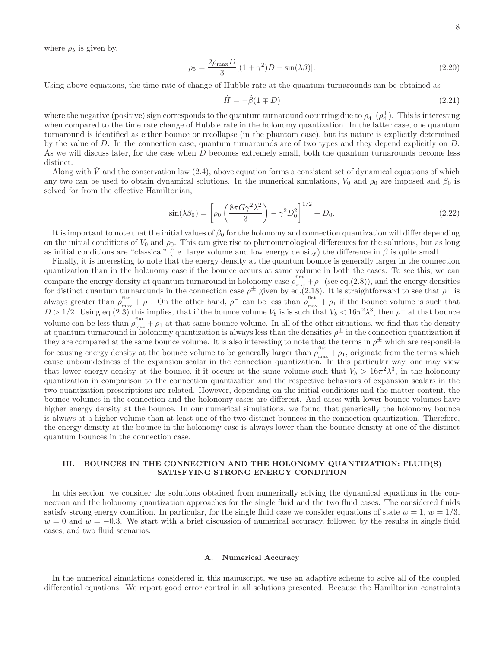where  $\rho_5$  is given by,

$$
\rho_5 = \frac{2\rho_{\text{max}}D}{3}[(1+\gamma^2)D - \sin(\lambda\beta)].\tag{2.20}
$$

Using above equations, the time rate of change of Hubble rate at the quantum turnarounds can be obtained as

$$
\dot{H} = -\dot{\beta}(1 \mp D) \tag{2.21}
$$

where the negative (positive) sign corresponds to the quantum turnaround occurring due to  $\rho_4^-$  ( $\rho_4^+$ ). This is interesting when compared to the time rate change of Hubble rate in the holonomy quantization. In the latter case, one quantum turnaround is identified as either bounce or recollapse (in the phantom case), but its nature is explicitly determined by the value of D. In the connection case, quantum turnarounds are of two types and they depend explicitly on D. As we will discuss later, for the case when D becomes extremely small, both the quantum turnarounds become less distinct.

Along with  $\dot{V}$  and the conservation law (2.4), above equation forms a consistent set of dynamical equations of which any two can be used to obtain dynamical solutions. In the numerical simulations,  $V_0$  and  $\rho_0$  are imposed and  $\beta_0$  is solved for from the effective Hamiltonian,

$$
\sin(\lambda \beta_0) = \left[ \rho_0 \left( \frac{8\pi G \gamma^2 \lambda^2}{3} \right) - \gamma^2 D_0^2 \right]^{1/2} + D_0. \tag{2.22}
$$

It is important to note that the initial values of  $\beta_0$  for the holonomy and connection quantization will differ depending on the initial conditions of  $V_0$  and  $\rho_0$ . This can give rise to phenomenological differences for the solutions, but as long as initial conditions are "classical" (i.e. large volume and low energy density) the difference in  $\beta$  is quite small.

Finally, it is interesting to note that the energy density at the quantum bounce is generally larger in the connection quantization than in the holonomy case if the bounce occurs at same volume in both the cases. To see this, we can compare the energy density at quantum turnaround in holonomy case  $\rho_{\text{max}}^{\text{flat}} + \rho_1$  (see eq.(2.8)), and the energy densities for distinct quantum turnarounds in the connection case  $\rho^{\pm}$  given by eq.(2.18). It is straightforward to see that  $\rho^+$  is always greater than  $\rho_{\text{max}}^{\text{flat}} + \rho_1$ . On the other hand,  $\rho^{\text{}}$  can be less than  $\rho_{\text{max}}^{\text{flat}} + \rho_1$  if the bounce volume is such that  $D > 1/2$ . Using eq.(2.3) this implies, that if the bounce volume  $V_b$  is is such that  $V_b < 16\pi^2\lambda^3$ , then  $\rho^-$  at that bounce volume can be less than  $\rho_{\text{max}}^{\text{flat}} + \rho_1$  at that same bounce volume. In all of the other situations, we find that the density at quantum turnaround in holonomy quantization is always less than the densities  $\rho^{\pm}$  in the connection quantization if they are compared at the same bounce volume. It is also interesting to note that the terms in  $\rho^{\pm}$  which are responsible for causing energy density at the bounce volume to be generally larger than  $\rho_{\text{max}}^{\text{flat}} + \rho_1$ , originate from the terms which cause unboundedness of the expansion scalar in the connection quantization. In this particular way, one may view that lower energy density at the bounce, if it occurs at the same volume such that  $V_b > 16\pi^2\lambda^3$ , in the holonomy quantization in comparison to the connection quantization and the respective behaviors of expansion scalars in the two quantization prescriptions are related. However, depending on the initial conditions and the matter content, the bounce volumes in the connection and the holonomy cases are different. And cases with lower bounce volumes have higher energy density at the bounce. In our numerical simulations, we found that generically the holonomy bounce is always at a higher volume than at least one of the two distinct bounces in the connection quantization. Therefore, the energy density at the bounce in the holonomy case is always lower than the bounce density at one of the distinct quantum bounces in the connection case.

# III. BOUNCES IN THE CONNECTION AND THE HOLONOMY QUANTIZATION: FLUID(S) SATISFYING STRONG ENERGY CONDITION

In this section, we consider the solutions obtained from numerically solving the dynamical equations in the connection and the holonomy quantization approaches for the single fluid and the two fluid cases. The considered fluids satisfy strong energy condition. In particular, for the single fluid case we consider equations of state  $w = 1$ ,  $w = 1/3$ ,  $w = 0$  and  $w = -0.3$ . We start with a brief discussion of numerical accuracy, followed by the results in single fluid cases, and two fluid scenarios.

# A. Numerical Accuracy

In the numerical simulations considered in this manuscript, we use an adaptive scheme to solve all of the coupled differential equations. We report good error control in all solutions presented. Because the Hamiltonian constraints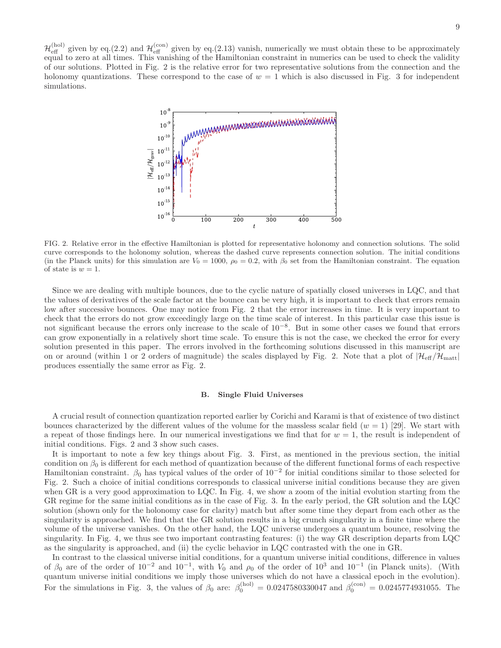$\mathcal{H}_{\text{eff}}^{(hol)}$  given by eq.(2.2) and  $\mathcal{H}_{\text{eff}}^{(con)}$  given by eq.(2.13) vanish, numerically we must obtain these to be approximately equal to zero at all times. This vanishing of the Hamiltonian constraint in numerics can be used to check the validity of our solutions. Plotted in Fig. 2 is the relative error for two representative solutions from the connection and the holonomy quantizations. These correspond to the case of  $w = 1$  which is also discussed in Fig. 3 for independent simulations.



FIG. 2. Relative error in the effective Hamiltonian is plotted for representative holonomy and connection solutions. The solid curve corresponds to the holonomy solution, whereas the dashed curve represents connection solution. The initial conditions (in the Planck units) for this simulation are  $V_0 = 1000$ ,  $\rho_0 = 0.2$ , with  $\beta_0$  set from the Hamiltonian constraint. The equation of state is  $w = 1$ .

Since we are dealing with multiple bounces, due to the cyclic nature of spatially closed universes in LQC, and that the values of derivatives of the scale factor at the bounce can be very high, it is important to check that errors remain low after successive bounces. One may notice from Fig. 2 that the error increases in time. It is very important to check that the errors do not grow exceedingly large on the time scale of interest. In this particular case this issue is not significant because the errors only increase to the scale of 10<sup>−</sup><sup>8</sup> . But in some other cases we found that errors can grow exponentially in a relatively short time scale. To ensure this is not the case, we checked the error for every solution presented in this paper. The errors involved in the forthcoming solutions discussed in this manuscript are on or around (within 1 or 2 orders of magnitude) the scales displayed by Fig. 2. Note that a plot of  $|\mathcal{H}_{\text{eff}}/\mathcal{H}_{\text{matt}}|$ produces essentially the same error as Fig. 2.

# B. Single Fluid Universes

A crucial result of connection quantization reported earlier by Corichi and Karami is that of existence of two distinct bounces characterized by the different values of the volume for the massless scalar field  $(w = 1)$  [29]. We start with a repeat of those findings here. In our numerical investigations we find that for  $w = 1$ , the result is independent of initial conditions. Figs. 2 and 3 show such cases.

It is important to note a few key things about Fig. 3. First, as mentioned in the previous section, the initial condition on  $\beta_0$  is different for each method of quantization because of the different functional forms of each respective Hamiltonian constraint.  $\beta_0$  has typical values of the order of 10<sup>-2</sup> for initial conditions similar to those selected for Fig. 2. Such a choice of initial conditions corresponds to classical universe initial conditions because they are given when GR is a very good approximation to LQC. In Fig. 4, we show a zoom of the initial evolution starting from the GR regime for the same initial conditions as in the case of Fig. 3. In the early period, the GR solution and the LQC solution (shown only for the holonomy case for clarity) match but after some time they depart from each other as the singularity is approached. We find that the GR solution results in a big crunch singularity in a finite time where the volume of the universe vanishes. On the other hand, the LQC universe undergoes a quantum bounce, resolving the singularity. In Fig. 4, we thus see two important contrasting features: (i) the way GR description departs from LQC as the singularity is approached, and (ii) the cyclic behavior in LQC contrasted with the one in GR.

In contrast to the classical universe initial conditions, for a quantum universe initial conditions, difference in values of  $\beta_0$  are of the order of 10<sup>-2</sup> and 10<sup>-1</sup>, with  $V_0$  and  $\rho_0$  of the order of 10<sup>3</sup> and 10<sup>-1</sup> (in Planck units). (With quantum universe initial conditions we imply those universes which do not have a classical epoch in the evolution). For the simulations in Fig. 3, the values of  $\beta_0$  are:  $\beta_0^{(hol)} = 0.0247580330047$  and  $\beta_0^{(con)} = 0.0245774931055$ . The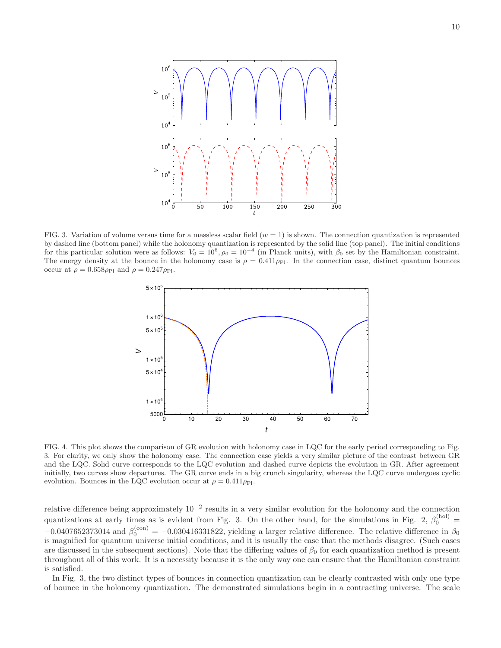

FIG. 3. Variation of volume versus time for a massless scalar field  $(w = 1)$  is shown. The connection quantization is represented by dashed line (bottom panel) while the holonomy quantization is represented by the solid line (top panel). The initial conditions for this particular solution were as follows:  $V_0 = 10^6$ ,  $\rho_0 = 10^{-4}$  (in Planck units), with  $\beta_0$  set by the Hamiltonian constraint. The energy density at the bounce in the holonomy case is  $\rho = 0.411 \rho_{\rm Pl}$ . In the connection case, distinct quantum bounces occur at  $\rho = 0.658 \rho_{\rm Pl}$  and  $\rho = 0.247 \rho_{\rm Pl}$ .



FIG. 4. This plot shows the comparison of GR evolution with holonomy case in LQC for the early period corresponding to Fig. 3. For clarity, we only show the holonomy case. The connection case yields a very similar picture of the contrast between GR and the LQC. Solid curve corresponds to the LQC evolution and dashed curve depicts the evolution in GR. After agreement initially, two curves show departures. The GR curve ends in a big crunch singularity, whereas the LQC curve undergoes cyclic evolution. Bounces in the LQC evolution occur at  $\rho = 0.411 \rho_{\rm Pl}$ .

relative difference being approximately  $10^{-2}$  results in a very similar evolution for the holonomy and the connection quantizations at early times as is evident from Fig. 3. On the other hand, for the simulations in Fig. 2,  $\beta_0^{(hol)}$  =  $-0.0407652373014$  and  $\beta_0^{\text{(con)}} = -0.030416331822$ , yielding a larger relative difference. The relative difference in  $\beta_0$ is magnified for quantum universe initial conditions, and it is usually the case that the methods disagree. (Such cases are discussed in the subsequent sections). Note that the differing values of  $\beta_0$  for each quantization method is present throughout all of this work. It is a necessity because it is the only way one can ensure that the Hamiltonian constraint is satisfied.

In Fig. 3, the two distinct types of bounces in connection quantization can be clearly contrasted with only one type of bounce in the holonomy quantization. The demonstrated simulations begin in a contracting universe. The scale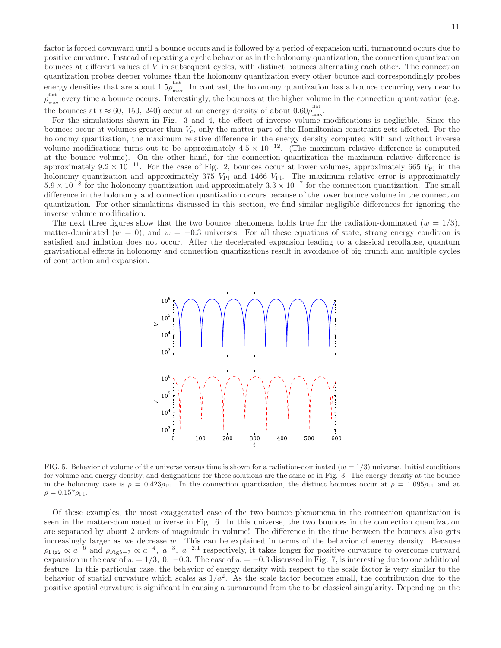factor is forced downward until a bounce occurs and is followed by a period of expansion until turnaround occurs due to positive curvature. Instead of repeating a cyclic behavior as in the holonomy quantization, the connection quantization bounces at different values of  $V$  in subsequent cycles, with distinct bounces alternating each other. The connection quantization probes deeper volumes than the holonomy quantization every other bounce and correspondingly probes energy densities that are about  $1.5\rho_{\rm ms}^{\rm flat}$ <sup>nax</sup>. In contrast, the holonomy quantization has a bounce occurring very near to flat<br> $\rho_{\text{max}}^{\text{flat}}$ <sup>thex</sup> every time a bounce occurs. Interestingly, the bounces at the higher volume in the connection quantization (e.g. the bounces at  $t \approx 60, 150, 240$  occur at an energy density of about  $0.60 \rho_{\text{max}}^{\text{flat}}$ ......<br>max

For the simulations shown in Fig. 3 and 4, the effect of inverse volume modifications is negligible. Since the bounces occur at volumes greater than  $V_c$ , only the matter part of the Hamiltonian constraint gets affected. For the holonomy quantization, the maximum relative difference in the energy density computed with and without inverse volume modifications turns out to be approximately  $4.5 \times 10^{-12}$ . (The maximum relative difference is computed at the bounce volume). On the other hand, for the connection quantization the maximum relative difference is approximately  $9.2 \times 10^{-11}$ . For the case of Fig. 2, bounces occur at lower volumes, approximately 665 V<sub>Pl</sub> in the holonomy quantization and approximately 375  $V_{\text{Pl}}$  and 1466  $V_{\text{Pl}}$ . The maximum relative error is approximately  $5.9 \times 10^{-8}$  for the holonomy quantization and approximately  $3.3 \times 10^{-7}$  for the connection quantization. The small difference in the holonomy and connection quantization occurs because of the lower bounce volume in the connection quantization. For other simulations discussed in this section, we find similar negligible differences for ignoring the inverse volume modification.

The next three figures show that the two bounce phenomena holds true for the radiation-dominated ( $w = 1/3$ ), matter-dominated ( $w = 0$ ), and  $w = -0.3$  universes. For all these equations of state, strong energy condition is satisfied and inflation does not occur. After the decelerated expansion leading to a classical recollapse, quantum gravitational effects in holonomy and connection quantizations result in avoidance of big crunch and multiple cycles of contraction and expansion.



FIG. 5. Behavior of volume of the universe versus time is shown for a radiation-dominated  $(w = 1/3)$  universe. Initial conditions for volume and energy density, and designations for these solutions are the same as in Fig. 3. The energy density at the bounce in the holonomy case is  $\rho = 0.423\rho_{\text{Pl}}$ . In the connection quantization, the distinct bounces occur at  $\rho = 1.095\rho_{\text{Pl}}$  and at  $\rho = 0.157 \rho_{\rm Pl}.$ 

Of these examples, the most exaggerated case of the two bounce phenomena in the connection quantization is seen in the matter-dominated universe in Fig. 6. In this universe, the two bounces in the connection quantization are separated by about 2 orders of magnitude in volume! The difference in the time between the bounces also gets increasingly larger as we decrease w. This can be explained in terms of the behavior of energy density. Because  $\rho_{\text{Fig2}} \propto a^{-6}$  and  $\rho_{\text{Fig5-7}} \propto a^{-4}$ ,  $a^{-3}$ ,  $a^{-2.1}$  respectively, it takes longer for positive curvature to overcome outward expansion in the case of  $w = 1/3$ , 0,  $-0.3$ . The case of  $w = -0.3$  discussed in Fig. 7, is interesting due to one additional feature. In this particular case, the behavior of energy density with respect to the scale factor is very similar to the behavior of spatial curvature which scales as  $1/a^2$ . As the scale factor becomes small, the contribution due to the positive spatial curvature is significant in causing a turnaround from the to be classical singularity. Depending on the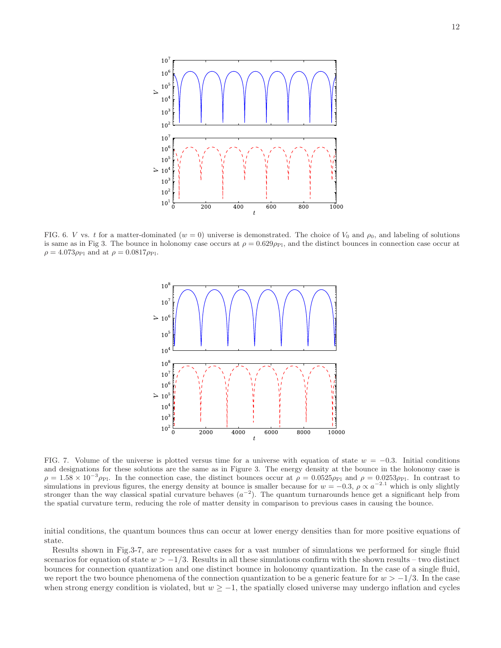

FIG. 6. V vs. t for a matter-dominated ( $w = 0$ ) universe is demonstrated. The choice of  $V_0$  and  $\rho_0$ , and labeling of solutions is same as in Fig 3. The bounce in holonomy case occurs at  $\rho = 0.629 \rho_{\rm Pl}$ , and the distinct bounces in connection case occur at  $\rho = 4.073 \rho_{\rm Pl}$  and at  $\rho = 0.0817 \rho_{\rm Pl}$ .



FIG. 7. Volume of the universe is plotted versus time for a universe with equation of state  $w = -0.3$ . Initial conditions and designations for these solutions are the same as in Figure 3. The energy density at the bounce in the holonomy case is  $\rho = 1.58 \times 10^{-3} \rho_{\rm Pl}$ . In the connection case, the distinct bounces occur at  $\rho = 0.0525 \rho_{\rm Pl}$  and  $\rho = 0.0253 \rho_{\rm Pl}$ . In contrast to simulations in previous figures, the energy density at bounce is smaller because for  $w = -0.3$ ,  $\rho \propto a^{-2.1}$  which is only slightly stronger than the way classical spatial curvature behaves  $(a^{-2})$ . The quantum turnarounds hence get a significant help from the spatial curvature term, reducing the role of matter density in comparison to previous cases in causing the bounce.

initial conditions, the quantum bounces thus can occur at lower energy densities than for more positive equations of state.

Results shown in Fig.3-7, are representative cases for a vast number of simulations we performed for single fluid scenarios for equation of state  $w > -1/3$ . Results in all these simulations confirm with the shown results – two distinct bounces for connection quantization and one distinct bounce in holonomy quantization. In the case of a single fluid, we report the two bounce phenomena of the connection quantization to be a generic feature for  $w > -1/3$ . In the case when strong energy condition is violated, but  $w \ge -1$ , the spatially closed universe may undergo inflation and cycles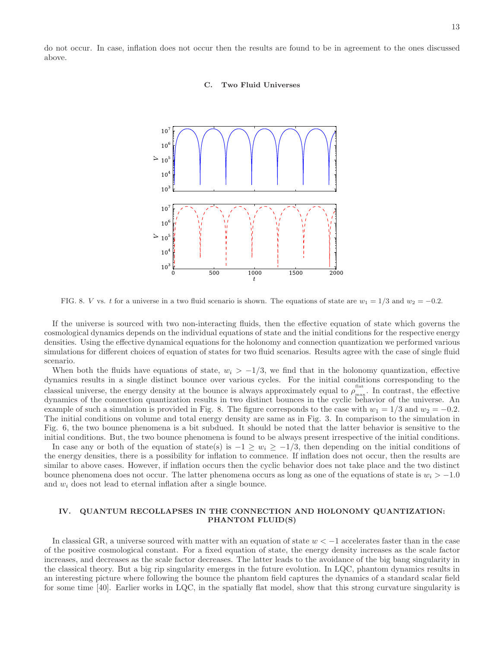13

do not occur. In case, inflation does not occur then the results are found to be in agreement to the ones discussed above.

# C. Two Fluid Universes



FIG. 8. V vs. t for a universe in a two fluid scenario is shown. The equations of state are  $w_1 = 1/3$  and  $w_2 = -0.2$ .

If the universe is sourced with two non-interacting fluids, then the effective equation of state which governs the cosmological dynamics depends on the individual equations of state and the initial conditions for the respective energy densities. Using the effective dynamical equations for the holonomy and connection quantization we performed various simulations for different choices of equation of states for two fluid scenarios. Results agree with the case of single fluid scenario.

When both the fluids have equations of state,  $w_i > -1/3$ , we find that in the holonomy quantization, effective dynamics results in a single distinct bounce over various cycles. For the initial conditions corresponding to the classical universe, the energy density at the bounce is always approximately equal to  $\rho_{\text{max}}^{\text{flat}}$  $\frac{m}{\text{max}}$ . In contrast, the effective dynamics of the connection quantization results in two distinct bounces in the cyclic behavior of the universe. An example of such a simulation is provided in Fig. 8. The figure corresponds to the case with  $w_1 = 1/3$  and  $w_2 = -0.2$ . The initial conditions on volume and total energy density are same as in Fig. 3. In comparison to the simulation in Fig. 6, the two bounce phenomena is a bit subdued. It should be noted that the latter behavior is sensitive to the initial conditions. But, the two bounce phenomena is found to be always present irrespective of the initial conditions.

In case any or both of the equation of state(s) is  $-1 \geq w_i \geq -1/3$ , then depending on the initial conditions of the energy densities, there is a possibility for inflation to commence. If inflation does not occur, then the results are similar to above cases. However, if inflation occurs then the cyclic behavior does not take place and the two distinct bounce phenomena does not occur. The latter phenomena occurs as long as one of the equations of state is  $w_i > -1.0$ and  $w_i$  does not lead to eternal inflation after a single bounce.

# IV. QUANTUM RECOLLAPSES IN THE CONNECTION AND HOLONOMY QUANTIZATION: PHANTOM FLUID(S)

In classical GR, a universe sourced with matter with an equation of state  $w < -1$  accelerates faster than in the case of the positive cosmological constant. For a fixed equation of state, the energy density increases as the scale factor increases, and decreases as the scale factor decreases. The latter leads to the avoidance of the big bang singularity in the classical theory. But a big rip singularity emerges in the future evolution. In LQC, phantom dynamics results in an interesting picture where following the bounce the phantom field captures the dynamics of a standard scalar field for some time [40]. Earlier works in LQC, in the spatially flat model, show that this strong curvature singularity is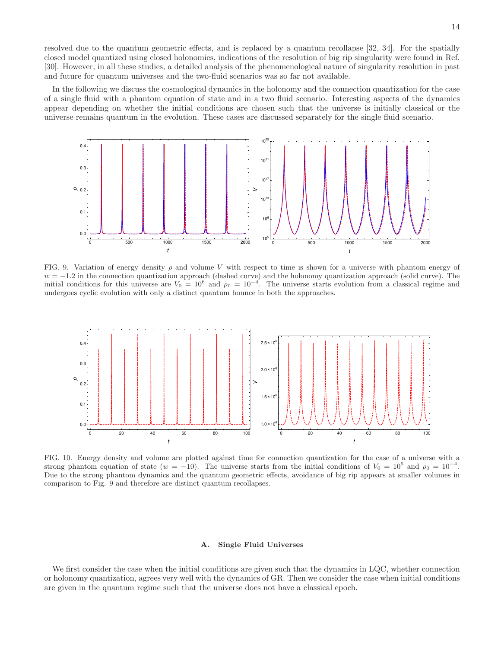resolved due to the quantum geometric effects, and is replaced by a quantum recollapse [32, 34]. For the spatially closed model quantized using closed holonomies, indications of the resolution of big rip singularity were found in Ref. [30]. However, in all these studies, a detailed analysis of the phenomenological nature of singularity resolution in past and future for quantum universes and the two-fluid scenarios was so far not available.

In the following we discuss the cosmological dynamics in the holonomy and the connection quantization for the case of a single fluid with a phantom equation of state and in a two fluid scenario. Interesting aspects of the dynamics appear depending on whether the initial conditions are chosen such that the universe is initially classical or the universe remains quantum in the evolution. These cases are discussed separately for the single fluid scenario.



FIG. 9. Variation of energy density  $\rho$  and volume V with respect to time is shown for a universe with phantom energy of  $w = -1.2$  in the connection quantization approach (dashed curve) and the holonomy quantization approach (solid curve). The initial conditions for this universe are  $V_0 = 10^6$  and  $\rho_0 = 10^{-4}$ . The universe starts evolution from a classical regime and undergoes cyclic evolution with only a distinct quantum bounce in both the approaches.



FIG. 10. Energy density and volume are plotted against time for connection quantization for the case of a universe with a strong phantom equation of state ( $w = -10$ ). The universe starts from the initial conditions of  $V_0 = 10^6$  and  $\rho_0 = 10^{-4}$ . Due to the strong phantom dynamics and the quantum geometric effects, avoidance of big rip appears at smaller volumes in comparison to Fig. 9 and therefore are distinct quantum recollapses.

# A. Single Fluid Universes

We first consider the case when the initial conditions are given such that the dynamics in LQC, whether connection or holonomy quantization, agrees very well with the dynamics of GR. Then we consider the case when initial conditions are given in the quantum regime such that the universe does not have a classical epoch.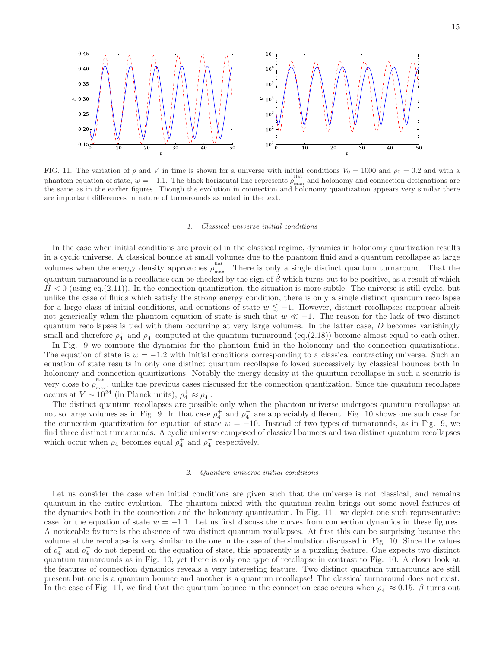

FIG. 11. The variation of  $\rho$  and V in time is shown for a universe with initial conditions  $V_0 = 1000$  and  $\rho_0 = 0.2$  and with a phantom equation of state,  $w = -1.1$ . The black horizontal line represents  $\rho_{\text{max}}^{\text{flat}}$  $\frac{m}{\text{max}}$  and holonomy and connection designations are the same as in the earlier figures. Though the evolution in connection and holonomy quantization appears very similar there are important differences in nature of turnarounds as noted in the text.

#### 1. Classical universe initial conditions

In the case when initial conditions are provided in the classical regime, dynamics in holonomy quantization results in a cyclic universe. A classical bounce at small volumes due to the phantom fluid and a quantum recollapse at large volumes when the energy density approaches  $\rho_{\text{max}}^{\text{flat}}$ <sup>nax</sup>. There is only a single distinct quantum turnaround. That the quantum turnaround is a recollapse can be checked by the sign of  $\beta$  which turns out to be positive, as a result of which  $H < 0$  (using eq.(2.11)). In the connection quantization, the situation is more subtle. The universe is still cyclic, but unlike the case of fluids which satisfy the strong energy condition, there is only a single distinct quantum recollapse for a large class of initial conditions, and equations of state  $w \lesssim -1$ . However, distinct recollapses reappear albeit not generically when the phantom equation of state is such that  $w \ll -1$ . The reason for the lack of two distinct quantum recollapses is tied with them occurring at very large volumes. In the latter case, D becomes vanishingly small and therefore  $\rho_4^+$  and  $\rho_4^-$  computed at the quantum turnaround (eq.(2.18)) become almost equal to each other.

In Fig. 9 we compare the dynamics for the phantom fluid in the holonomy and the connection quantizations. The equation of state is  $w = -1.2$  with initial conditions corresponding to a classical contracting universe. Such an equation of state results in only one distinct quantum recollapse followed successively by classical bounces both in holonomy and connection quantizations. Notably the energy density at the quantum recollapse in such a scenario is very close to  $\rho_{\text{max}}^{\text{flat}}$ <sup>thes</sup>, unlike the previous cases discussed for the connection quantization. Since the quantum recollapse occurs at  $V \sim 10^{24}$  (in Planck units),  $\rho_4^+ \approx \rho_4^-$ .

The distinct quantum recollapses are possible only when the phantom universe undergoes quantum recollapse at not so large volumes as in Fig. 9. In that case  $\rho_4^+$  and  $\rho_4^-$  are appreciably different. Fig. 10 shows one such case for the connection quantization for equation of state  $w = -10$ . Instead of two types of turnarounds, as in Fig. 9, we find three distinct turnarounds. A cyclic universe composed of classical bounces and two distinct quantum recollapses which occur when  $\rho_4$  becomes equal  $\rho_4^+$  and  $\rho_4^-$  respectively.

#### 2. Quantum universe initial conditions

Let us consider the case when initial conditions are given such that the universe is not classical, and remains quantum in the entire evolution. The phantom mixed with the quantum realm brings out some novel features of the dynamics both in the connection and the holonomy quantization. In Fig. 11 , we depict one such representative case for the equation of state  $w = -1.1$ . Let us first discuss the curves from connection dynamics in these figures. A noticeable feature is the absence of two distinct quantum recollapses. At first this can be surprising because the volume at the recollapse is very similar to the one in the case of the simulation discussed in Fig. 10. Since the values of  $\rho_4^+$  and  $\rho_4^-$  do not depend on the equation of state, this apparently is a puzzling feature. One expects two distinct quantum turnarounds as in Fig. 10, yet there is only one type of recollapse in contrast to Fig. 10. A closer look at the features of connection dynamics reveals a very interesting feature. Two distinct quantum turnarounds are still present but one is a quantum bounce and another is a quantum recollapse! The classical turnaround does not exist. In the case of Fig. 11, we find that the quantum bounce in the connection case occurs when  $\rho_4^- \approx 0.15$ .  $\dot{\beta}$  turns out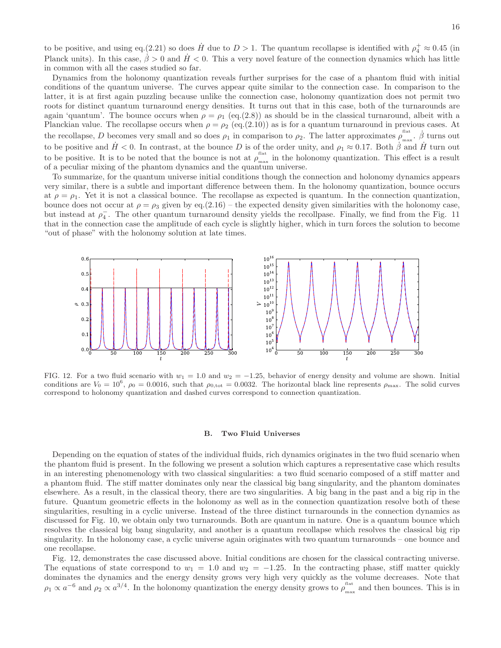to be positive, and using eq.(2.21) so does  $\dot{H}$  due to  $D > 1$ . The quantum recollapse is identified with  $\rho_4^+ \approx 0.45$  (in Planck units). In this case,  $\dot{\beta} > 0$  and  $\dot{H} < 0$ . This a very novel feature of the connection dynamics which has little in common with all the cases studied so far.

Dynamics from the holonomy quantization reveals further surprises for the case of a phantom fluid with initial conditions of the quantum universe. The curves appear quite similar to the connection case. In comparison to the latter, it is at first again puzzling because unlike the connection case, holonomy quantization does not permit two roots for distinct quantum turnaround energy densities. It turns out that in this case, both of the turnarounds are again 'quantum'. The bounce occurs when  $\rho = \rho_1$  (eq.(2.8)) as should be in the classical turnaround, albeit with a Planckian value. The recollapse occurs when  $\rho = \rho_2$  (eq.(2.10)) as is for a quantum turnaround in previous cases. At the recollapse, D becomes very small and so does  $\rho_1$  in comparison to  $\rho_2$ . The latter approximates  $\rho_{\text{max}}^{\text{flat}}$ .  $\dot{\beta}$  turns out to be positive and  $H < 0$ . In contrast, at the bounce D is of the order unity, and  $\rho_1 \approx 0.17$ . Both  $\beta$  and  $H$  turn out to be positive. It is to be noted that the bounce is not at  $\rho_{\text{max}}^{\text{flat}}$ <sup>rax</sup> in the holonomy quantization. This effect is a result of a peculiar mixing of the phantom dynamics and the quantum universe.

To summarize, for the quantum universe initial conditions though the connection and holonomy dynamics appears very similar, there is a subtle and important difference between them. In the holonomy quantization, bounce occurs at  $\rho = \rho_1$ . Yet it is not a classical bounce. The recollapse as expected is quantum. In the connection quantization, bounce does not occur at  $\rho = \rho_3$  given by eq.(2.16) – the expected density given similarities with the holonomy case, but instead at  $\rho_4^-$ . The other quantum turnaround density yields the recollpase. Finally, we find from the Fig. 11 that in the connection case the amplitude of each cycle is slightly higher, which in turn forces the solution to become "out of phase" with the holonomy solution at late times.



FIG. 12. For a two fluid scenario with  $w_1 = 1.0$  and  $w_2 = -1.25$ , behavior of energy density and volume are shown. Initial conditions are  $V_0 = 10^6$ ,  $\rho_0 = 0.0016$ , such that  $\rho_{0,\text{tot}} = 0.0032$ . The horizontal black line represents  $\rho_{\text{max}}$ . The solid curves correspond to holonomy quantization and dashed curves correspond to connection quantization.

#### B. Two Fluid Universes

Depending on the equation of states of the individual fluids, rich dynamics originates in the two fluid scenario when the phantom fluid is present. In the following we present a solution which captures a representative case which results in an interesting phenomenology with two classical singularities: a two fluid scenario composed of a stiff matter and a phantom fluid. The stiff matter dominates only near the classical big bang singularity, and the phantom dominates elsewhere. As a result, in the classical theory, there are two singularities. A big bang in the past and a big rip in the future. Quantum geometric effects in the holonomy as well as in the connection quantization resolve both of these singularities, resulting in a cyclic universe. Instead of the three distinct turnarounds in the connection dynamics as discussed for Fig. 10, we obtain only two turnarounds. Both are quantum in nature. One is a quantum bounce which resolves the classical big bang singularity, and another is a quantum recollapse which resolves the classical big rip singularity. In the holonomy case, a cyclic universe again originates with two quantum turnarounds – one bounce and one recollapse.

Fig. 12, demonstrates the case discussed above. Initial conditions are chosen for the classical contracting universe. The equations of state correspond to  $w_1 = 1.0$  and  $w_2 = -1.25$ . In the contracting phase, stiff matter quickly dominates the dynamics and the energy density grows very high very quickly as the volume decreases. Note that  $\rho_1 \propto a^{-6}$  and  $\rho_2 \propto a^{3/4}$ . In the holonomy quantization the energy density grows to  $\rho_{\text{max}}^{\text{flat}}$  $\frac{m}{\text{max}}$  and then bounces. This is in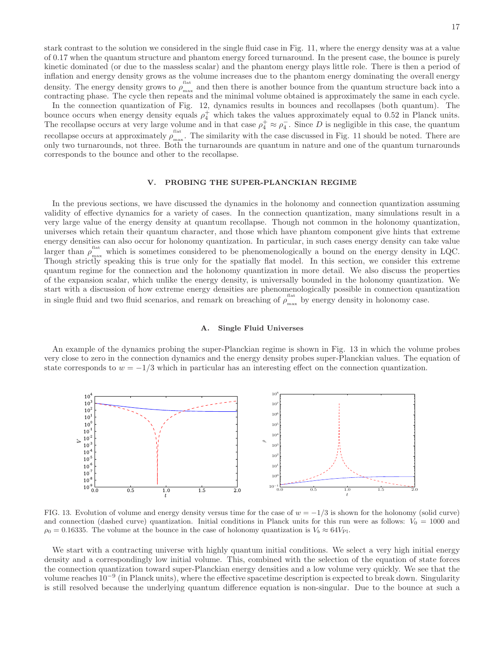17

stark contrast to the solution we considered in the single fluid case in Fig. 11, where the energy density was at a value of 0.17 when the quantum structure and phantom energy forced turnaround. In the present case, the bounce is purely kinetic dominated (or due to the massless scalar) and the phantom energy plays little role. There is then a period of inflation and energy density grows as the volume increases due to the phantom energy dominating the overall energy density. The energy density grows to  $\rho_{\text{max}}^{\text{flat}}$ <sup>nax</sup> and then there is another bounce from the quantum structure back into a contracting phase. The cycle then repeats and the minimal volume obtained is approximately the same in each cycle.

In the connection quantization of Fig. 12, dynamics results in bounces and recollapses (both quantum). The bounce occurs when energy density equals  $\rho_4^+$  which takes the values approximately equal to 0.52 in Planck units. The recollapse occurs at very large volume and in that case  $\rho_4^+ \approx \rho_4^-$ . Since D is negligible in this case, the quantum recollapse occurs at approximately  $\rho_{\text{max}}^{\text{flat}}$  $\frac{m}{m}$ . The similarity with the case discussed in Fig. 11 should be noted. There are only two turnarounds, not three. Both the turnarounds are quantum in nature and one of the quantum turnarounds corresponds to the bounce and other to the recollapse.

#### V. PROBING THE SUPER-PLANCKIAN REGIME

In the previous sections, we have discussed the dynamics in the holonomy and connection quantization assuming validity of effective dynamics for a variety of cases. In the connection quantization, many simulations result in a very large value of the energy density at quantum recollapse. Though not common in the holonomy quantization, universes which retain their quantum character, and those which have phantom component give hints that extreme energy densities can also occur for holonomy quantization. In particular, in such cases energy density can take value larger than  $\rho_{\text{max}}^{\text{flat}}$  which is sometimes considered to be phenomenologically a bound on the energy density in LQC. Though strictly speaking this is true only for the spatially flat model. In this section, we consider this extreme quantum regime for the connection and the holonomy quantization in more detail. We also discuss the properties of the expansion scalar, which unlike the energy density, is universally bounded in the holonomy quantization. We start with a discussion of how extreme energy densities are phenomenologically possible in connection quantization in single fluid and two fluid scenarios, and remark on breaching of  $\rho_{\text{max}}^{\text{flat}}$  $\frac{m}{\text{max}}$  by energy density in holonomy case.

# A. Single Fluid Universes

An example of the dynamics probing the super-Planckian regime is shown in Fig. 13 in which the volume probes very close to zero in the connection dynamics and the energy density probes super-Planckian values. The equation of state corresponds to  $w = -1/3$  which in particular has an interesting effect on the connection quantization.



FIG. 13. Evolution of volume and energy density versus time for the case of  $w = -1/3$  is shown for the holonomy (solid curve) and connection (dashed curve) quantization. Initial conditions in Planck units for this run were as follows:  $V_0 = 1000$  and  $\rho_0 = 0.16335$ . The volume at the bounce in the case of holonomy quantization is  $V_b \approx 64V_{\text{Pl}}$ .

We start with a contracting universe with highly quantum initial conditions. We select a very high initial energy density and a correspondingly low initial volume. This, combined with the selection of the equation of state forces the connection quantization toward super-Planckian energy densities and a low volume very quickly. We see that the volume reaches 10<sup>-9</sup> (in Planck units), where the effective spacetime description is expected to break down. Singularity is still resolved because the underlying quantum difference equation is non-singular. Due to the bounce at such a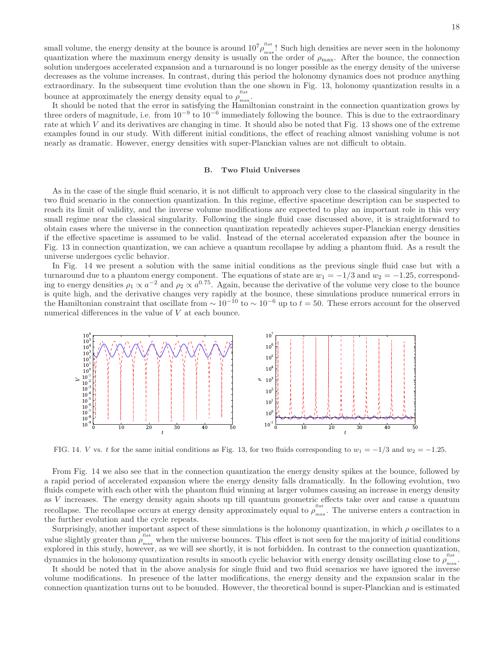small volume, the energy density at the bounce is around  $10^{7} \rho_{\text{max}}^{\text{flat}}$  $\frac{m}{\text{max}}$ ! Such high densities are never seen in the holonomy quantization where the maximum energy density is usually on the order of  $\rho_{\text{max}}$ . After the bounce, the connection solution undergoes accelerated expansion and a turnaround is no longer possible as the energy density of the universe decreases as the volume increases. In contrast, during this period the holonomy dynamics does not produce anything extraordinary. In the subsequent time evolution than the one shown in Fig. 13, holonomy quantization results in a bounce at approximately the energy density equal to  $\rho_{\text{max}}^{\text{flat}}$ max :<br>max :

It should be noted that the error in satisfying the Hamiltonian constraint in the connection quantization grows by three orders of magnitude, i.e. from  $10^{-9}$  to  $10^{-6}$  immediately following the bounce. This is due to the extraordinary rate at which  $V$  and its derivatives are changing in time. It should also be noted that Fig. 13 shows one of the extreme examples found in our study. With different initial conditions, the effect of reaching almost vanishing volume is not nearly as dramatic. However, energy densities with super-Planckian values are not difficult to obtain.

# B. Two Fluid Universes

As in the case of the single fluid scenario, it is not difficult to approach very close to the classical singularity in the two fluid scenario in the connection quantization. In this regime, effective spacetime description can be suspected to reach its limit of validity, and the inverse volume modifications are expected to play an important role in this very small regime near the classical singularity. Following the single fluid case discussed above, it is straightforward to obtain cases where the universe in the connection quantization repeatedly achieves super-Planckian energy densities if the effective spacetime is assumed to be valid. Instead of the eternal accelerated expansion after the bounce in Fig. 13 in connection quantization, we can achieve a quantum recollapse by adding a phantom fluid. As a result the universe undergoes cyclic behavior.

In Fig. 14 we present a solution with the same initial conditions as the previous single fluid case but with a turnaround due to a phantom energy component. The equations of state are  $w_1 = -1/3$  and  $w_2 = -1.25$ , corresponding to energy densities  $\rho_1 \propto a^{-2}$  and  $\rho_2 \propto a^{0.75}$ . Again, because the derivative of the volume very close to the bounce is quite high, and the derivative changes very rapidly at the bounce, these simulations produce numerical errors in the Hamiltonian constraint that oscillate from  $\sim 10^{-10}$  to  $\sim 10^{-6}$  up to  $t = 50$ . These errors account for the observed numerical differences in the value of V at each bounce.



FIG. 14. V vs. t for the same initial conditions as Fig. 13, for two fluids corresponding to  $w_1 = -1/3$  and  $w_2 = -1.25$ .

From Fig. 14 we also see that in the connection quantization the energy density spikes at the bounce, followed by a rapid period of accelerated expansion where the energy density falls dramatically. In the following evolution, two fluids compete with each other with the phantom fluid winning at larger volumes causing an increase in energy density as V increases. The energy density again shoots up till quantum geometric effects take over and cause a quantum recollapse. The recollapse occurs at energy density approximately equal to  $\rho_{\text{max}}^{\text{flat}}$  $\frac{m}{\text{max}}$ . The universe enters a contraction in the further evolution and the cycle repeats.

Surprisingly, another important aspect of these simulations is the holonomy quantization, in which  $\rho$  oscillates to a value slightly greater than  $\rho_{\text{max}}^{\text{flat}}$  when the universe bounces. This effect is not seen for the majority of initial conditions explored in this study, however, as we will see shortly, it is not forbidden. In contrast to the connection quantization, dynamics in the holonomy quantization results in smooth cyclic behavior with energy density oscillating close to  $\rho_{\text{max}}^{\text{flat}}$ max .<br>max .

It should be noted that in the above analysis for single fluid and two fluid scenarios we have ignored the inverse volume modifications. In presence of the latter modifications, the energy density and the expansion scalar in the connection quantization turns out to be bounded. However, the theoretical bound is super-Planckian and is estimated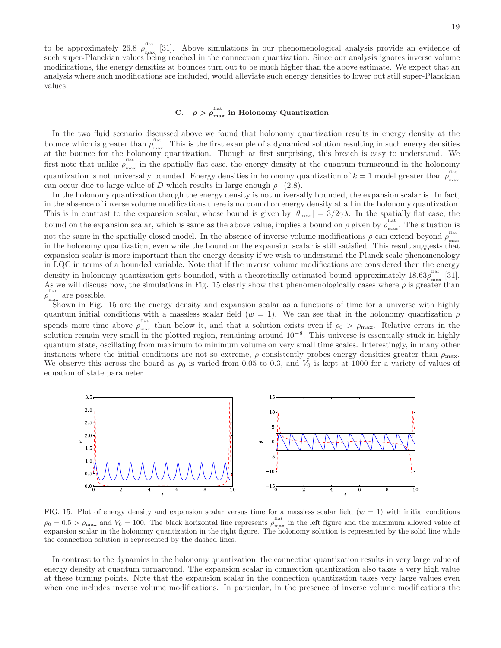#### C.  $\rho > \rho_{\text{max}}^{\text{flat}}$ <sup>nax</sup> in Holonomy Quantization

In the two fluid scenario discussed above we found that holonomy quantization results in energy density at the bounce which is greater than  $\rho_{\text{max}}^{\text{flat}}$ <sup>nax</sup>. This is the first example of a dynamical solution resulting in such energy densities at the bounce for the holonomy quantization. Though at first surprising, this breach is easy to understand. We first note that unlike  $\rho_{\text{max}}^{\text{flat}}$ <sup>1116</sup> in the spatially flat case, the energy density at the quantum turnaround in the holonomy quantization is not universally bounded. Energy densities in holonomy quantization of  $k = 1$  model greater than  $\rho_{\text{max}}^{\text{flat}}$ max can occur due to large value of D which results in large enough  $\rho_1$  (2.8).

In the holonomy quantization though the energy density is not universally bounded, the expansion scalar is. In fact, in the absence of inverse volume modifications there is no bound on energy density at all in the holonomy quantization. This is in contrast to the expansion scalar, whose bound is given by  $|\theta_{\text{max}}| = 3/2\gamma\lambda$ . In the spatially flat case, the bound on the expansion scalar, which is same as the above value, implies a bound on  $\rho$  given by  $\rho_{\text{max}}^{\text{flat}}$  $\frac{m}{\text{max}}$ . The situation is not the same in the spatially closed model. In the absence of inverse volume modifications  $\rho$  can extend beyond  $\rho_{\text{max}}^{\text{flat}}$ max in the holonomy quantization, even while the bound on the expansion scalar is still satisfied. This result suggests that expansion scalar is more important than the energy density if we wish to understand the Planck scale phenomenology in LQC in terms of a bounded variable. Note that if the inverse volume modifications are considered then the energy density in holonomy quantization gets bounded, with a theoretically estimated bound approximately  $18.63\rho_{\text{max}}^{\text{flat}}$  $\frac{1}{\text{max}}$  [31]. As we will discuss now, the simulations in Fig. 15 clearly show that phenomenologically cases where  $\rho$  is greater than flat<br> $\rho_{\text{max}}^{\text{flat}}$  $_{\text{max}}$  are possible.

Shown in Fig. 15 are the energy density and expansion scalar as a functions of time for a universe with highly quantum initial conditions with a massless scalar field  $(w = 1)$ . We can see that in the holonomy quantization  $\rho$ spends more time above  $\rho_{\text{max}}^{\text{flat}}$  $\frac{m}{m}$  than below it, and that a solution exists even if  $\rho_0 > \rho_{\text{max}}$ . Relative errors in the solution remain very small in the plotted region, remaining around 10<sup>-8</sup>. This universe is essentially stuck in highly quantum state, oscillating from maximum to minimum volume on very small time scales. Interestingly, in many other instances where the initial conditions are not so extreme,  $\rho$  consistently probes energy densities greater than  $\rho_{\text{max}}$ . We observe this across the board as  $\rho_0$  is varied from 0.05 to 0.3, and  $V_0$  is kept at 1000 for a variety of values of equation of state parameter.



FIG. 15. Plot of energy density and expansion scalar versus time for a massless scalar field  $(w = 1)$  with initial conditions  $\rho_0 = 0.5 > \rho_{\text{max}}$  and  $V_0 = 100$ . The black horizontal line represents  $\rho_{\text{max}}^{\text{flat}}$  $\frac{m}{\text{max}}$  in the left figure and the maximum allowed value of expansion scalar in the holonomy quantization in the right figure. The holonomy solution is represented by the solid line while the connection solution is represented by the dashed lines.

In contrast to the dynamics in the holonomy quantization, the connection quantization results in very large value of energy density at quantum turnaround. The expansion scalar in connection quantization also takes a very high value at these turning points. Note that the expansion scalar in the connection quantization takes very large values even when one includes inverse volume modifications. In particular, in the presence of inverse volume modifications the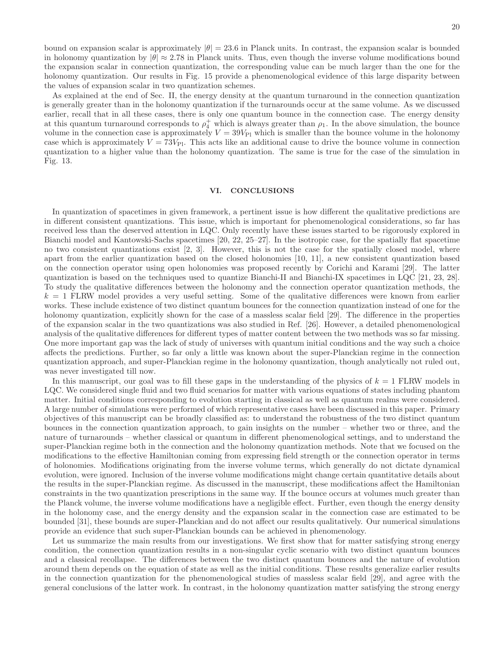the values of expansion scalar in two quantization schemes. As explained at the end of Sec. II, the energy density at the quantum turnaround in the connection quantization is generally greater than in the holonomy quantization if the turnarounds occur at the same volume. As we discussed earlier, recall that in all these cases, there is only one quantum bounce in the connection case. The energy density at this quantum turnaround corresponds to  $\rho_4^+$  which is always greater than  $\rho_1$ . In the above simulation, the bounce volume in the connection case is approximately  $V = 39V_{\text{Pl}}$  which is smaller than the bounce volume in the holonomy case which is approximately  $V = 73V_{\text{Pl}}$ . This acts like an additional cause to drive the bounce volume in connection quantization to a higher value than the holonomy quantization. The same is true for the case of the simulation in Fig. 13.

the expansion scalar in connection quantization, the corresponding value can be much larger than the one for the holonomy quantization. Our results in Fig. 15 provide a phenomenological evidence of this large disparity between

## VI. CONCLUSIONS

In quantization of spacetimes in given framework, a pertinent issue is how different the qualitative predictions are in different consistent quantizations. This issue, which is important for phenomenological considerations, so far has received less than the deserved attention in LQC. Only recently have these issues started to be rigorously explored in Bianchi model and Kantowski-Sachs spacetimes [20, 22, 25–27]. In the isotropic case, for the spatially flat spacetime no two consistent quantizations exist [2, 3]. However, this is not the case for the spatially closed model, where apart from the earlier quantization based on the closed holonomies [10, 11], a new consistent quantization based on the connection operator using open holonomies was proposed recently by Corichi and Karami [29]. The latter quantization is based on the techniques used to quantize Bianchi-II and Bianchi-IX spacetimes in LQC [21, 23, 28]. To study the qualitative differences between the holonomy and the connection operator quantization methods, the  $k = 1$  FLRW model provides a very useful setting. Some of the qualitative differences were known from earlier works. These include existence of two distinct quantum bounces for the connection quantization instead of one for the holonomy quantization, explicitly shown for the case of a massless scalar field [29]. The difference in the properties of the expansion scalar in the two quantizations was also studied in Ref. [26]. However, a detailed phenomenological analysis of the qualitative differences for different types of matter content between the two methods was so far missing. One more important gap was the lack of study of universes with quantum initial conditions and the way such a choice affects the predictions. Further, so far only a little was known about the super-Planckian regime in the connection quantization approach, and super-Planckian regime in the holonomy quantization, though analytically not ruled out, was never investigated till now.

In this manuscript, our goal was to fill these gaps in the understanding of the physics of  $k = 1$  FLRW models in LQC. We considered single fluid and two fluid scenarios for matter with various equations of states including phantom matter. Initial conditions corresponding to evolution starting in classical as well as quantum realms were considered. A large number of simulations were performed of which representative cases have been discussed in this paper. Primary objectives of this manuscript can be broadly classified as: to understand the robustness of the two distinct quantum bounces in the connection quantization approach, to gain insights on the number – whether two or three, and the nature of turnarounds – whether classical or quantum in different phenomenological settings, and to understand the super-Planckian regime both in the connection and the holonomy quantization methods. Note that we focused on the modifications to the effective Hamiltonian coming from expressing field strength or the connection operator in terms of holonomies. Modifications originating from the inverse volume terms, which generally do not dictate dynamical evolution, were ignored. Inclusion of the inverse volume modifications might change certain quantitative details about the results in the super-Planckian regime. As discussed in the manuscript, these modifications affect the Hamiltonian constraints in the two quantization prescriptions in the same way. If the bounce occurs at volumes much greater than the Planck volume, the inverse volume modifications have a negligible effect. Further, even though the energy density in the holonomy case, and the energy density and the expansion scalar in the connection case are estimated to be bounded [31], these bounds are super-Planckian and do not affect our results qualitatively. Our numerical simulations provide an evidence that such super-Planckian bounds can be achieved in phenomenology.

Let us summarize the main results from our investigations. We first show that for matter satisfying strong energy condition, the connection quantization results in a non-singular cyclic scenario with two distinct quantum bounces and a classical recollapse. The differences between the two distinct quantum bounces and the nature of evolution around them depends on the equation of state as well as the initial conditions. These results generalize earlier results in the connection quantization for the phenomenological studies of massless scalar field [29], and agree with the general conclusions of the latter work. In contrast, in the holonomy quantization matter satisfying the strong energy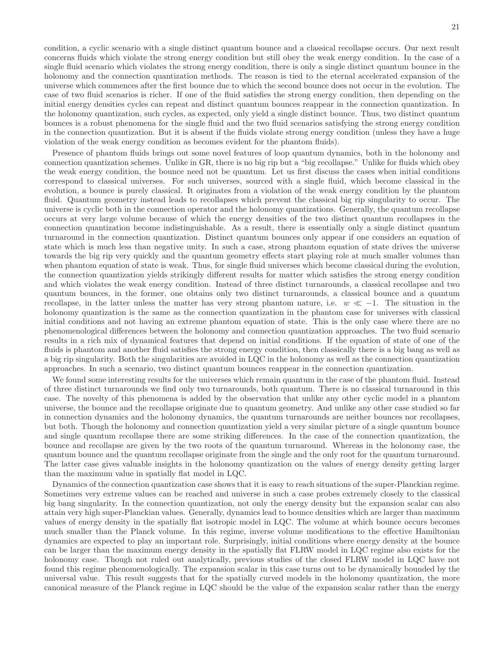condition, a cyclic scenario with a single distinct quantum bounce and a classical recollapse occurs. Our next result concerns fluids which violate the strong energy condition but still obey the weak energy condition. In the case of a single fluid scenario which violates the strong energy condition, there is only a single distinct quantum bounce in the holonomy and the connection quantization methods. The reason is tied to the eternal accelerated expansion of the universe which commences after the first bounce due to which the second bounce does not occur in the evolution. The case of two fluid scenarios is richer. If one of the fluid satisfies the strong energy condition, then depending on the initial energy densities cycles can repeat and distinct quantum bounces reappear in the connection quantization. In the holonomy quantization, such cycles, as expected, only yield a single distinct bounce. Thus, two distinct quantum bounces is a robust phenomena for the single fluid and the two fluid scenarios satisfying the strong energy condition in the connection quantization. But it is absent if the fluids violate strong energy condition (unless they have a huge violation of the weak energy condition as becomes evident for the phantom fluids).

Presence of phantom fluids brings out some novel features of loop quantum dynamics, both in the holonomy and connection quantization schemes. Unlike in GR, there is no big rip but a "big recollapse." Unlike for fluids which obey the weak energy condition, the bounce need not be quantum. Let us first discuss the cases when initial conditions correspond to classical universes. For such universes, sourced with a single fluid, which become classical in the evolution, a bounce is purely classical. It originates from a violation of the weak energy condition by the phantom fluid. Quantum geometry instead leads to recollapses which prevent the classical big rip singularity to occur. The universe is cyclic both in the connection operator and the holonomy quantizations. Generally, the quantum recollapse occurs at very large volume because of which the energy densities of the two distinct quantum recollapses in the connection quantization become indistinguishable. As a result, there is essentially only a single distinct quantum turnaround in the connection quantization. Distinct quantum bounces only appear if one considers an equation of state which is much less than negative unity. In such a case, strong phantom equation of state drives the universe towards the big rip very quickly and the quantum geometry effects start playing role at much smaller volumes than when phantom equation of state is weak. Thus, for single fluid universes which become classical during the evolution, the connection quantization yields strikingly different results for matter which satisfies the strong energy condition and which violates the weak energy condition. Instead of three distinct turnarounds, a classical recollapse and two quantum bounces, in the former, one obtains only two distinct turnarounds, a classical bounce and a quantum recollapse, in the latter unless the matter has very strong phantom nature, i.e.  $w \ll -1$ . The situation in the holonomy quantization is the same as the connection quantization in the phantom case for universes with classical initial conditions and not having an extreme phantom equation of state. This is the only case where there are no phenomenological differences between the holonomy and connection quantization approaches. The two fluid scenario results in a rich mix of dynamical features that depend on initial conditions. If the equation of state of one of the fluids is phantom and another fluid satisfies the strong energy condition, then classically there is a big bang as well as a big rip singularity. Both the singularities are avoided in LQC in the holonomy as well as the connection quantization approaches. In such a scenario, two distinct quantum bounces reappear in the connection quantization.

We found some interesting results for the universes which remain quantum in the case of the phantom fluid. Instead of three distinct turnarounds we find only two turnarounds, both quantum. There is no classical turnaround in this case. The novelty of this phenomena is added by the observation that unlike any other cyclic model in a phantom universe, the bounce and the recollapse originate due to quantum geometry. And unlike any other case studied so far in connection dynamics and the holonomy dynamics, the quantum turnarounds are neither bounces nor recollapses, but both. Though the holonomy and connection quantization yield a very similar picture of a single quantum bounce and single quantum recollapse there are some striking differences. In the case of the connection quantization, the bounce and recollapse are given by the two roots of the quantum turnaround. Whereas in the holonomy case, the quantum bounce and the quantum recollapse originate from the single and the only root for the quantum turnaround. The latter case gives valuable insights in the holonomy quantization on the values of energy density getting larger than the maximum value in spatially flat model in LQC.

Dynamics of the connection quantization case shows that it is easy to reach situations of the super-Planckian regime. Sometimes very extreme values can be reached and universe in such a case probes extremely closely to the classical big bang singularity. In the connection quantization, not only the energy density but the expansion scalar can also attain very high super-Planckian values. Generally, dynamics lead to bounce densities which are larger than maximum values of energy density in the spatially flat isotropic model in LQC. The volume at which bounce occurs becomes much smaller than the Planck volume. In this regime, inverse volume modifications to the effective Hamiltonian dynamics are expected to play an important role. Surprisingly, initial conditions where energy density at the bounce can be larger than the maximum energy density in the spatially flat FLRW model in LQC regime also exists for the holonomy case. Though not ruled out analytically, previous studies of the closed FLRW model in LQC have not found this regime phenomenologically. The expansion scalar in this case turns out to be dynamically bounded by the universal value. This result suggests that for the spatially curved models in the holonomy quantization, the more canonical measure of the Planck regime in LQC should be the value of the expansion scalar rather than the energy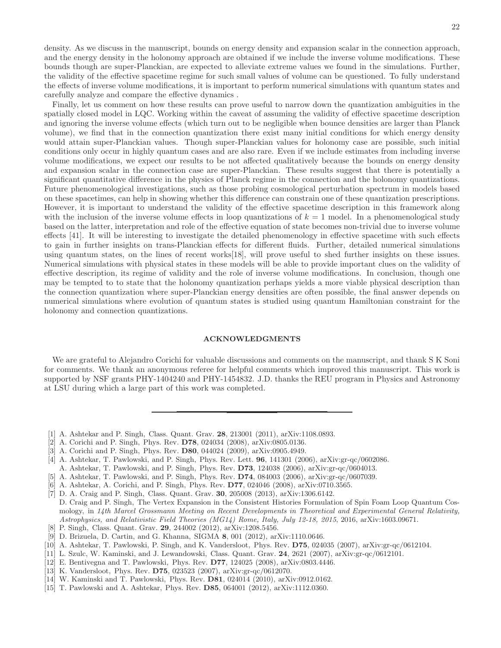Finally, let us comment on how these results can prove useful to narrow down the quantization ambiguities in the spatially closed model in LQC. Working within the caveat of assuming the validity of effective spacetime description and ignoring the inverse volume effects (which turn out to be negligible when bounce densities are larger than Planck volume), we find that in the connection quantization there exist many initial conditions for which energy density would attain super-Planckian values. Though super-Planckian values for holonomy case are possible, such initial conditions only occur in highly quantum cases and are also rare. Even if we include estimates from including inverse volume modifications, we expect our results to be not affected qualitatively because the bounds on energy density and expansion scalar in the connection case are super-Planckian. These results suggest that there is potentially a significant quantitative difference in the physics of Planck regime in the connection and the holonomy quantizations. Future phenomenological investigations, such as those probing cosmological perturbation spectrum in models based on these spacetimes, can help in showing whether this difference can constrain one of these quantization prescriptions. However, it is important to understand the validity of the effective spacetime description in this framework along with the inclusion of the inverse volume effects in loop quantizations of  $k = 1$  model. In a phenomenological study based on the latter, interpretation and role of the effective equation of state becomes non-trivial due to inverse volume effects [41]. It will be interesting to investigate the detailed phenomenology in effective spacetime with such effects to gain in further insights on trans-Planckian effects for different fluids. Further, detailed numerical simulations using quantum states, on the lines of recent works[18], will prove useful to shed further insights on these issues. Numerical simulations with physical states in these models will be able to provide important clues on the validity of effective description, its regime of validity and the role of inverse volume modifications. In conclusion, though one may be tempted to to state that the holonomy quantization perhaps yields a more viable physical description than the connection quantization where super-Planckian energy densities are often possible, the final answer depends on numerical simulations where evolution of quantum states is studied using quantum Hamiltonian constraint for the holonomy and connection quantizations.

# ACKNOWLEDGMENTS

We are grateful to Alejandro Corichi for valuable discussions and comments on the manuscript, and thank S K Soni for comments. We thank an anonymous referee for helpful comments which improved this manuscript. This work is supported by NSF grants PHY-1404240 and PHY-1454832. J.D. thanks the REU program in Physics and Astronomy at LSU during which a large part of this work was completed.

- [1] A. Ashtekar and P. Singh, Class. Quant. Grav. 28, 213001 (2011), arXiv:1108.0893.
- [2] A. Corichi and P. Singh, Phys. Rev. D78, 024034 (2008), arXiv:0805.0136.
- [3] A. Corichi and P. Singh, Phys. Rev. **D80**, 044024 (2009), arXiv:0905.4949.
- [4] A. Ashtekar, T. Pawlowski, and P. Singh, Phys. Rev. Lett. 96, 141301 (2006), arXiv:gr-qc/0602086. A. Ashtekar, T. Pawlowski, and P. Singh, Phys. Rev. D73, 124038 (2006), arXiv:gr-qc/0604013.
- [5] A. Ashtekar, T. Pawlowski, and P. Singh, Phys. Rev. D74, 084003 (2006), arXiv:gr-qc/0607039.
- [6] A. Ashtekar, A. Corichi, and P. Singh, Phys. Rev. D77, 024046 (2008), arXiv:0710.3565.
- [7] D. A. Craig and P. Singh, Class. Quant. Grav. 30, 205008 (2013), arXiv:1306.6142.
- D. Craig and P. Singh, The Vertex Expansion in the Consistent Histories Formulation of Spin Foam Loop Quantum Cosmology, in 14th Marcel Grossmann Meeting on Recent Developments in Theoretical and Experimental General Relativity, Astrophysics, and Relativistic Field Theories (MG14) Rome, Italy, July 12-18, 2015, 2016, arXiv:1603.09671.
- [8] P. Singh, Class. Quant. Grav. 29, 244002 (2012), arXiv:1208.5456.
- [9] D. Brizuela, D. Cartin, and G. Khanna, SIGMA 8, 001 (2012), arXiv:1110.0646.
- [10] A. Ashtekar, T. Pawlowski, P. Singh, and K. Vandersloot, Phys. Rev. D75, 024035 (2007), arXiv:gr-qc/0612104.
- [11] L. Szulc, W. Kaminski, and J. Lewandowski, Class. Quant. Grav. 24, 2621 (2007), arXiv:gr-qc/0612101.
- [12] E. Bentivegna and T. Pawlowski, Phys. Rev. D77, 124025 (2008), arXiv:0803.4446.
- [13] K. Vandersloot, Phys. Rev. D75, 023523 (2007), arXiv:gr-qc/0612070.
- [14] W. Kaminski and T. Pawlowski, Phys. Rev. D81, 024014 (2010), arXiv:0912.0162.
- [15] T. Pawlowski and A. Ashtekar, Phys. Rev. D85, 064001 (2012), arXiv:1112.0360.